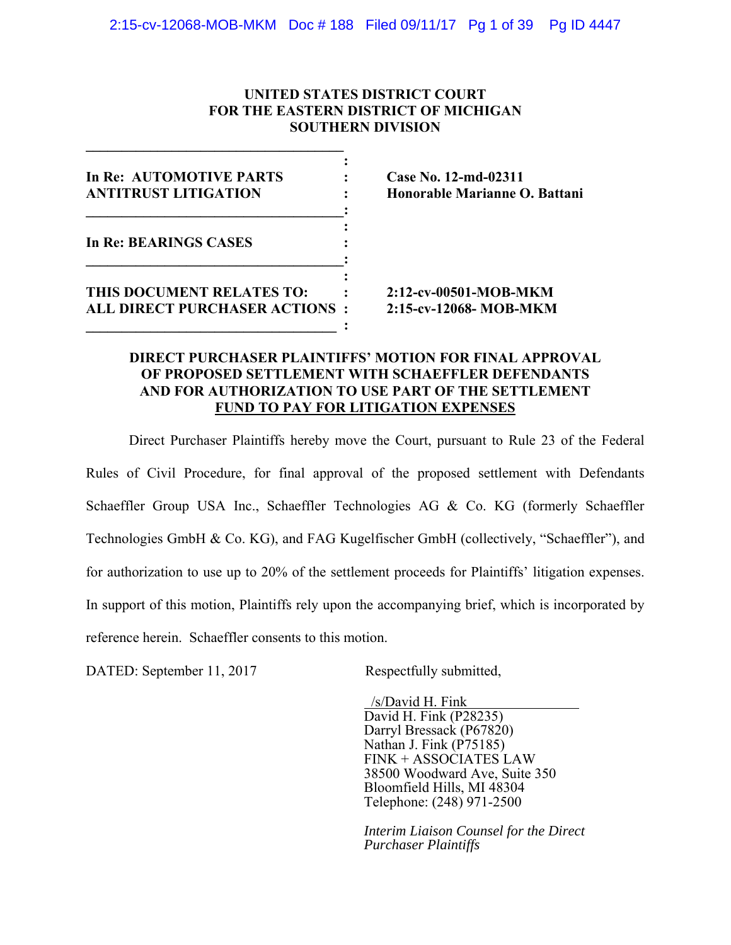## **UNITED STATES DISTRICT COURT FOR THE EASTERN DISTRICT OF MICHIGAN SOUTHERN DIVISION**

| In Re: AUTOMOTIVE PARTS              | Case No. 12-md-02311          |
|--------------------------------------|-------------------------------|
| <b>ANTITRUST LITIGATION</b>          | Honorable Marianne O. Battani |
| In Re: BEARINGS CASES                |                               |
| THIS DOCUMENT RELATES TO:            | 2:12-cv-00501-MOB-MKM         |
| <b>ALL DIRECT PURCHASER ACTIONS:</b> | 2:15-cv-12068- MOB-MKM        |

**\_\_\_\_\_\_\_\_\_\_\_\_\_\_\_\_\_\_\_\_\_\_\_\_\_\_\_\_\_\_\_\_\_\_\_\_** 

# **DIRECT PURCHASER PLAINTIFFS' MOTION FOR FINAL APPROVAL OF PROPOSED SETTLEMENT WITH SCHAEFFLER DEFENDANTS AND FOR AUTHORIZATION TO USE PART OF THE SETTLEMENT FUND TO PAY FOR LITIGATION EXPENSES**

Direct Purchaser Plaintiffs hereby move the Court, pursuant to Rule 23 of the Federal Rules of Civil Procedure, for final approval of the proposed settlement with Defendants Schaeffler Group USA Inc., Schaeffler Technologies AG & Co. KG (formerly Schaeffler Technologies GmbH & Co. KG), and FAG Kugelfischer GmbH (collectively, "Schaeffler"), and for authorization to use up to 20% of the settlement proceeds for Plaintiffs' litigation expenses. In support of this motion, Plaintiffs rely upon the accompanying brief, which is incorporated by reference herein. Schaeffler consents to this motion.

DATED: September 11, 2017 Respectfully submitted,

 /s/David H. Fink David H. Fink (P28235) Darryl Bressack (P67820) Nathan J. Fink (P75185) FINK + ASSOCIATES LAW 38500 Woodward Ave, Suite 350 Bloomfield Hills, MI 48304 Telephone: (248) 971-2500

*Interim Liaison Counsel for the Direct Purchaser Plaintiffs*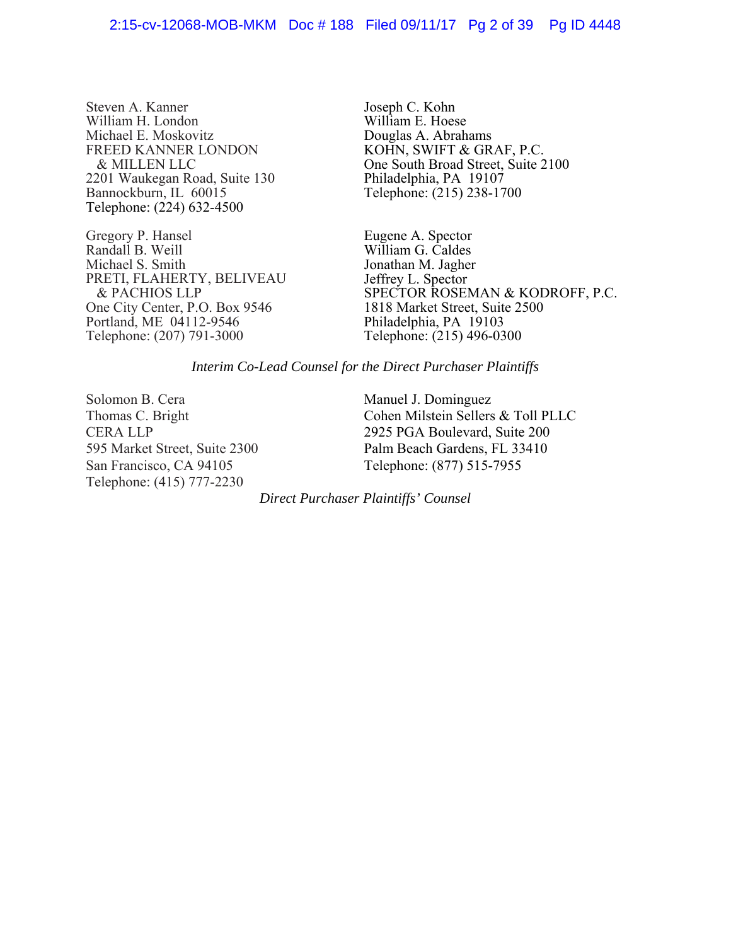#### 2:15-cv-12068-MOB-MKM Doc # 188 Filed 09/11/17 Pg 2 of 39 Pg ID 4448

Steven A. Kanner William H. London Michael E. Moskovitz FREED KANNER LONDON & MILLEN LLC 2201 Waukegan Road, Suite 130 Bannockburn, IL 60015 Telephone: (224) 632-4500

Gregory P. Hansel Randall B. Weill Michael S. Smith PRETI, FLAHERTY, BELIVEAU & PACHIOS LLP One City Center, P.O. Box 9546 Portland, ME 04112-9546 Telephone: (207) 791-3000

Joseph C. Kohn William E. Hoese Douglas A. Abrahams KOHN, SWIFT & GRAF, P.C. One South Broad Street, Suite 2100 Philadelphia, PA 19107 Telephone: (215) 238-1700

Eugene A. Spector William G. Caldes Jonathan M. Jagher Jeffrey L. Spector SPECTOR ROSEMAN & KODROFF, P.C. 1818 Market Street, Suite 2500 Philadelphia, PA 19103 Telephone: (215) 496-0300

#### *Interim Co-Lead Counsel for the Direct Purchaser Plaintiffs*

Solomon B. Cera Thomas C. Bright CERA LLP 595 Market Street, Suite 2300 San Francisco, CA 94105 Telephone: (415) 777-2230

Manuel J. Dominguez Cohen Milstein Sellers & Toll PLLC 2925 PGA Boulevard, Suite 200 Palm Beach Gardens, FL 33410 Telephone: (877) 515-7955

*Direct Purchaser Plaintiffs' Counsel*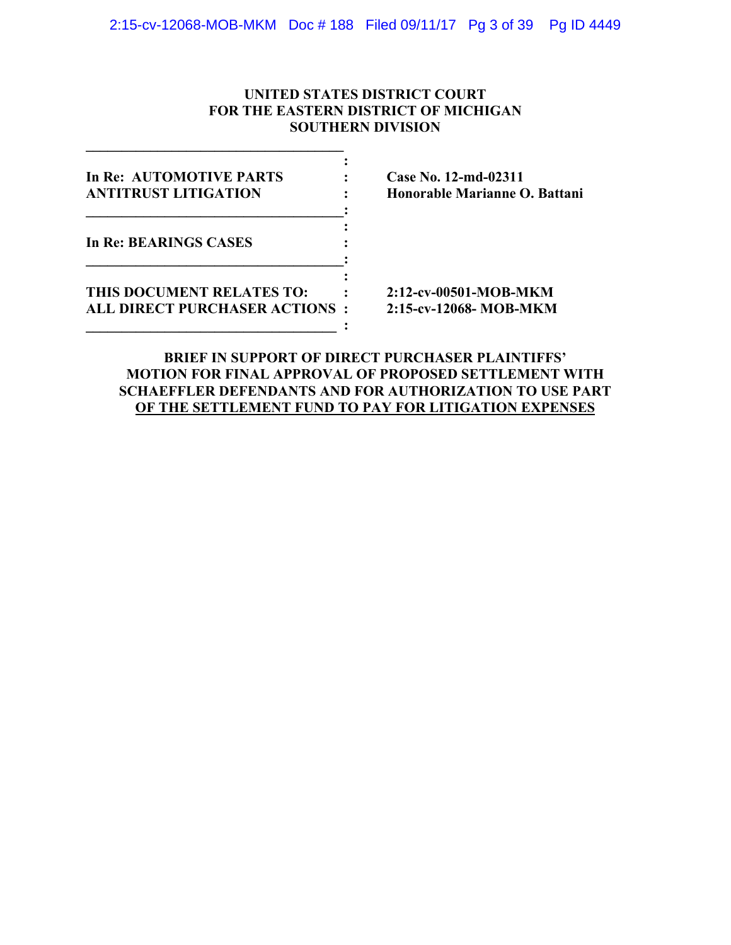# **UNITED STATES DISTRICT COURT FOR THE EASTERN DISTRICT OF MICHIGAN SOUTHERN DIVISION**

| In Re: AUTOMOTIVE PARTS              | Case No. 12-md-02311          |
|--------------------------------------|-------------------------------|
| <b>ANTITRUST LITIGATION</b>          | Honorable Marianne O. Battani |
| In Re: BEARINGS CASES                |                               |
| THIS DOCUMENT RELATES TO:            | 2:12-cv-00501-MOB-MKM         |
| <b>ALL DIRECT PURCHASER ACTIONS:</b> | 2:15-cv-12068- MOB-MKM        |

**\_\_\_\_\_\_\_\_\_\_\_\_\_\_\_\_\_\_\_\_\_\_\_\_\_\_\_\_\_\_\_\_\_\_\_\_** 

# **BRIEF IN SUPPORT OF DIRECT PURCHASER PLAINTIFFS' MOTION FOR FINAL APPROVAL OF PROPOSED SETTLEMENT WITH SCHAEFFLER DEFENDANTS AND FOR AUTHORIZATION TO USE PART OF THE SETTLEMENT FUND TO PAY FOR LITIGATION EXPENSES**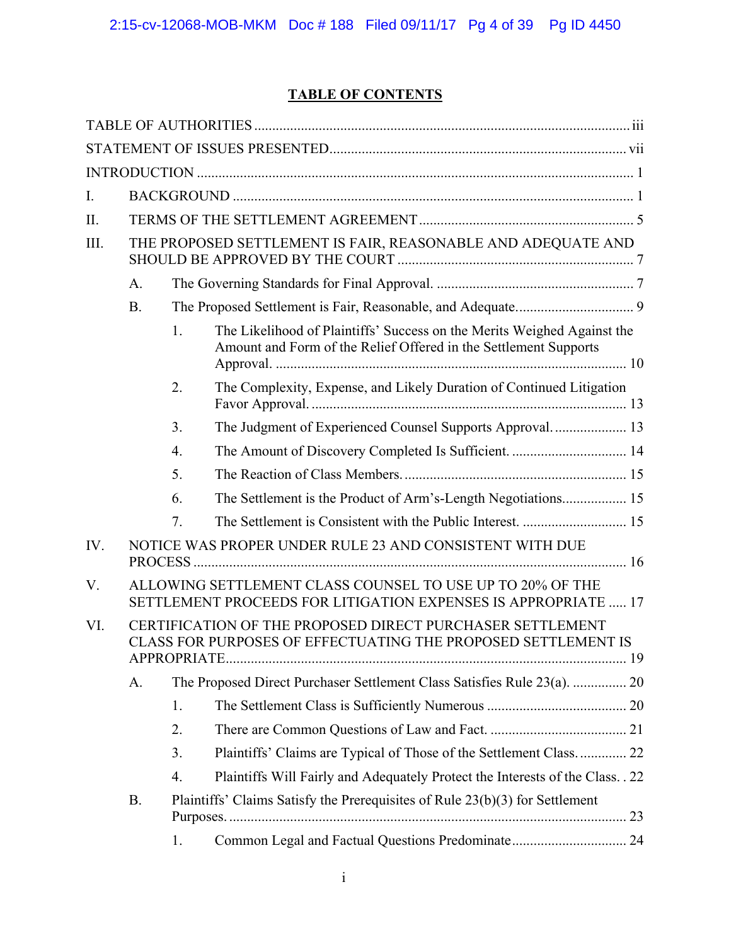# **TABLE OF CONTENTS**

| I.   |           |    |                                                                                                                                             |  |
|------|-----------|----|---------------------------------------------------------------------------------------------------------------------------------------------|--|
| Π.   |           |    |                                                                                                                                             |  |
| III. |           |    | THE PROPOSED SETTLEMENT IS FAIR, REASONABLE AND ADEQUATE AND                                                                                |  |
|      | A.        |    |                                                                                                                                             |  |
|      | <b>B.</b> |    |                                                                                                                                             |  |
|      |           | 1. | The Likelihood of Plaintiffs' Success on the Merits Weighed Against the<br>Amount and Form of the Relief Offered in the Settlement Supports |  |
|      |           | 2. | The Complexity, Expense, and Likely Duration of Continued Litigation                                                                        |  |
|      |           | 3. | The Judgment of Experienced Counsel Supports Approval 13                                                                                    |  |
|      |           | 4. | The Amount of Discovery Completed Is Sufficient.  14                                                                                        |  |
|      |           | 5. |                                                                                                                                             |  |
|      |           | 6. | The Settlement is the Product of Arm's-Length Negotiations 15                                                                               |  |
|      |           | 7. |                                                                                                                                             |  |
| IV.  |           |    | NOTICE WAS PROPER UNDER RULE 23 AND CONSISTENT WITH DUE                                                                                     |  |
| V.   |           |    | ALLOWING SETTLEMENT CLASS COUNSEL TO USE UP TO 20% OF THE<br>SETTLEMENT PROCEEDS FOR LITIGATION EXPENSES IS APPROPRIATE  17                 |  |
| VI.  |           |    | CERTIFICATION OF THE PROPOSED DIRECT PURCHASER SETTLEMENT<br>CLASS FOR PURPOSES OF EFFECTUATING THE PROPOSED SETTLEMENT IS                  |  |
|      | A.        |    | The Proposed Direct Purchaser Settlement Class Satisfies Rule 23(a).  20                                                                    |  |
|      |           | 1. |                                                                                                                                             |  |
|      |           | 2. |                                                                                                                                             |  |
|      |           | 3. | Plaintiffs' Claims are Typical of Those of the Settlement Class 22                                                                          |  |
|      |           | 4. | Plaintiffs Will Fairly and Adequately Protect the Interests of the Class. . 22                                                              |  |
|      | <b>B.</b> |    | Plaintiffs' Claims Satisfy the Prerequisites of Rule 23(b)(3) for Settlement                                                                |  |
|      |           | 1. | Common Legal and Factual Questions Predominate 24                                                                                           |  |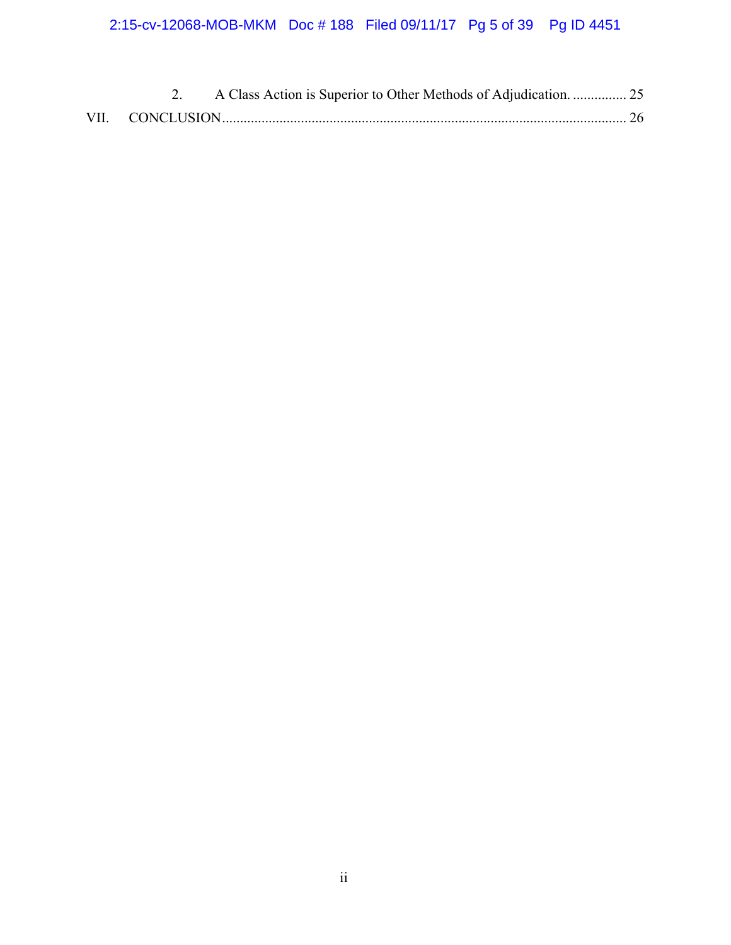# 2:15-cv-12068-MOB-MKM Doc # 188 Filed 09/11/17 Pg 5 of 39 Pg ID 4451

|  | A Class Action is Superior to Other Methods of Adjudication.  25 |  |
|--|------------------------------------------------------------------|--|
|  |                                                                  |  |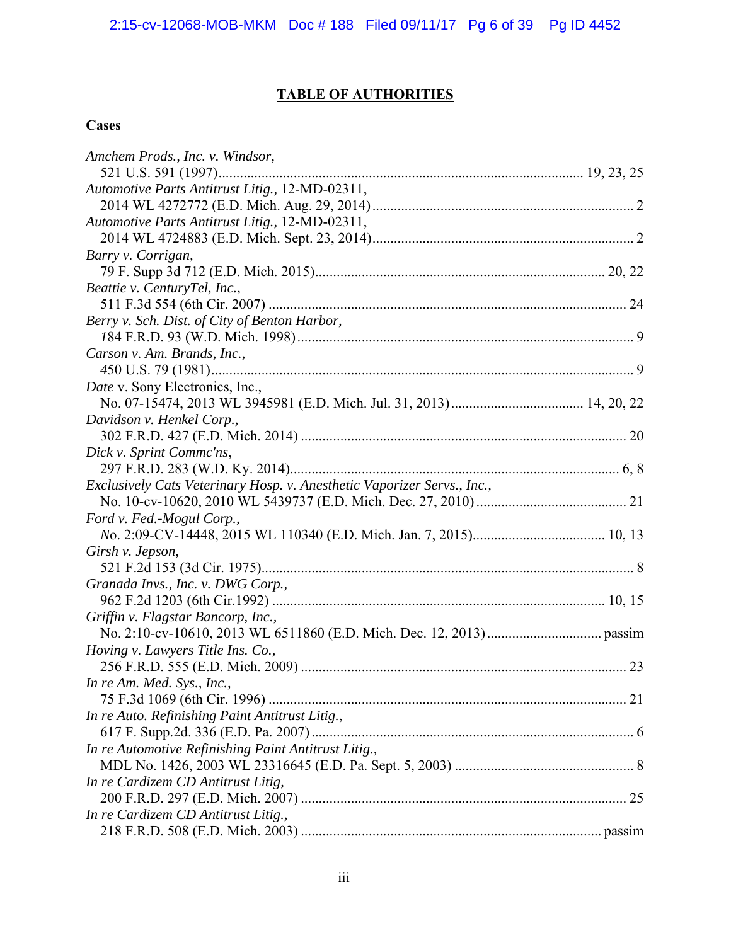# **TABLE OF AUTHORITIES**

# **Cases**

| Amchem Prods., Inc. v. Windsor,                                         |  |
|-------------------------------------------------------------------------|--|
|                                                                         |  |
| Automotive Parts Antitrust Litig., 12-MD-02311,                         |  |
|                                                                         |  |
| Automotive Parts Antitrust Litig., 12-MD-02311,                         |  |
|                                                                         |  |
| Barry v. Corrigan,                                                      |  |
|                                                                         |  |
| Beattie v. CenturyTel, Inc.,                                            |  |
|                                                                         |  |
| Berry v. Sch. Dist. of City of Benton Harbor,                           |  |
|                                                                         |  |
| Carson v. Am. Brands, Inc.,                                             |  |
|                                                                         |  |
| Date v. Sony Electronics, Inc.,                                         |  |
|                                                                         |  |
| Davidson v. Henkel Corp.,                                               |  |
|                                                                         |  |
| Dick v. Sprint Commc'ns,                                                |  |
|                                                                         |  |
| Exclusively Cats Veterinary Hosp. v. Anesthetic Vaporizer Servs., Inc., |  |
|                                                                         |  |
| Ford v. Fed.-Mogul Corp.,                                               |  |
|                                                                         |  |
| Girsh v. Jepson,                                                        |  |
|                                                                         |  |
| Granada Invs., Inc. v. DWG Corp.,                                       |  |
|                                                                         |  |
| Griffin v. Flagstar Bancorp, Inc.,                                      |  |
|                                                                         |  |
| Hoving v. Lawyers Title Ins. Co.,                                       |  |
|                                                                         |  |
| In re Am. Med. Sys., Inc.,                                              |  |
|                                                                         |  |
| In re Auto. Refinishing Paint Antitrust Litig.,                         |  |
|                                                                         |  |
| In re Automotive Refinishing Paint Antitrust Litig.,                    |  |
|                                                                         |  |
| In re Cardizem CD Antitrust Litig,                                      |  |
|                                                                         |  |
| In re Cardizem CD Antitrust Litig.,                                     |  |
|                                                                         |  |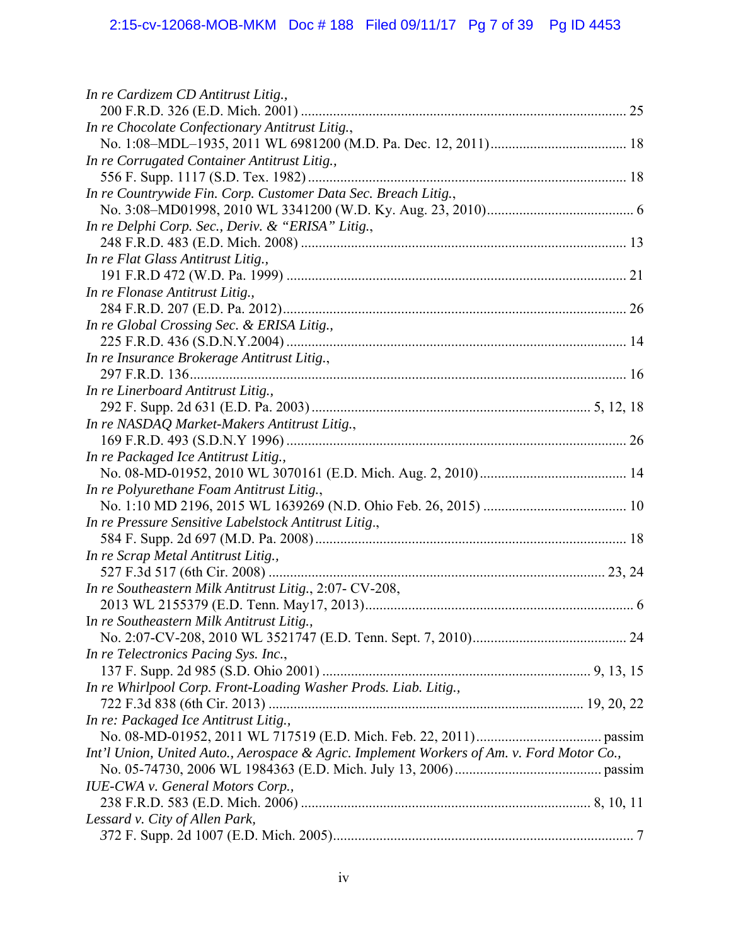# 2:15-cv-12068-MOB-MKM Doc # 188 Filed 09/11/17 Pg 7 of 39 Pg ID 4453

| In re Cardizem CD Antitrust Litig.,                                                       |  |
|-------------------------------------------------------------------------------------------|--|
|                                                                                           |  |
| In re Chocolate Confectionary Antitrust Litig.,                                           |  |
|                                                                                           |  |
| In re Corrugated Container Antitrust Litig.,                                              |  |
|                                                                                           |  |
| In re Countrywide Fin. Corp. Customer Data Sec. Breach Litig.,                            |  |
|                                                                                           |  |
| In re Delphi Corp. Sec., Deriv. & "ERISA" Litig.,                                         |  |
|                                                                                           |  |
| In re Flat Glass Antitrust Litig.,                                                        |  |
|                                                                                           |  |
| In re Flonase Antitrust Litig.,                                                           |  |
|                                                                                           |  |
| In re Global Crossing Sec. & ERISA Litig.,                                                |  |
|                                                                                           |  |
| In re Insurance Brokerage Antitrust Litig.,                                               |  |
|                                                                                           |  |
| In re Linerboard Antitrust Litig.,                                                        |  |
|                                                                                           |  |
| In re NASDAQ Market-Makers Antitrust Litig.,                                              |  |
|                                                                                           |  |
| In re Packaged Ice Antitrust Litig.,                                                      |  |
|                                                                                           |  |
| In re Polyurethane Foam Antitrust Litig.,                                                 |  |
|                                                                                           |  |
| In re Pressure Sensitive Labelstock Antitrust Litig.,                                     |  |
|                                                                                           |  |
| In re Scrap Metal Antitrust Litig.,                                                       |  |
|                                                                                           |  |
| In re Southeastern Milk Antitrust Litig., 2:07- CV-208,                                   |  |
|                                                                                           |  |
| In re Southeastern Milk Antitrust Litig.,                                                 |  |
|                                                                                           |  |
| In re Telectronics Pacing Sys. Inc.,                                                      |  |
|                                                                                           |  |
| In re Whirlpool Corp. Front-Loading Washer Prods. Liab. Litig.,                           |  |
|                                                                                           |  |
| In re: Packaged Ice Antitrust Litig.,                                                     |  |
|                                                                                           |  |
| Int'l Union, United Auto., Aerospace & Agric. Implement Workers of Am. v. Ford Motor Co., |  |
|                                                                                           |  |
| <b>IUE-CWA</b> v. General Motors Corp.,                                                   |  |
|                                                                                           |  |
| Lessard v. City of Allen Park,                                                            |  |
|                                                                                           |  |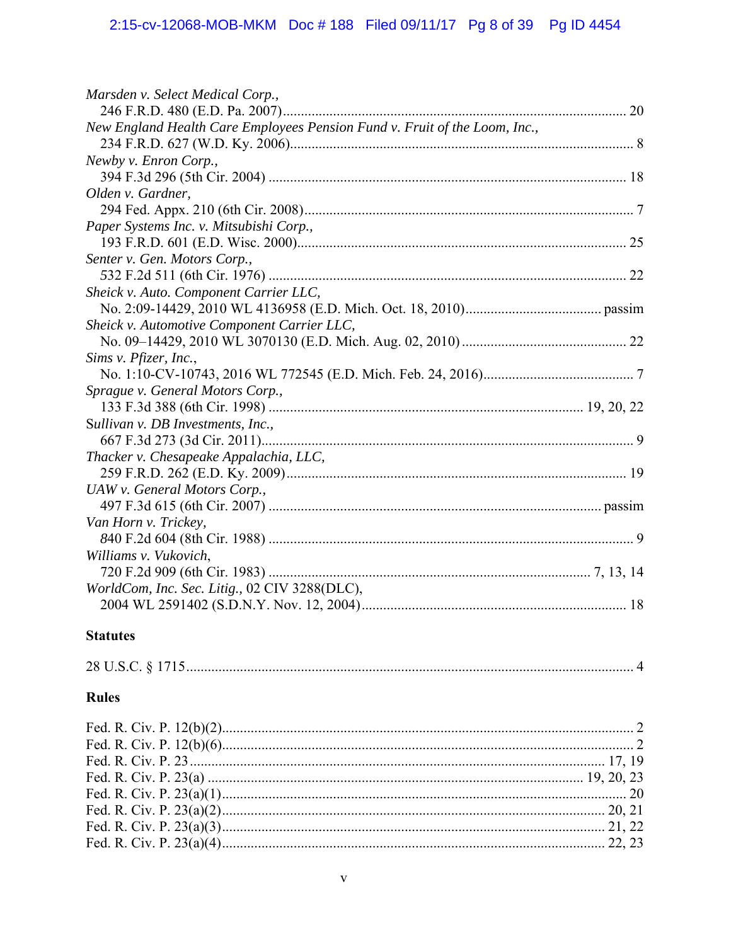# 2:15-cv-12068-MOB-MKM Doc #188 Filed 09/11/17 Pg 8 of 39 Pg ID 4454

| Marsden v. Select Medical Corp.,                                           |  |
|----------------------------------------------------------------------------|--|
|                                                                            |  |
| New England Health Care Employees Pension Fund v. Fruit of the Loom, Inc., |  |
|                                                                            |  |
| Newby v. Enron Corp.,                                                      |  |
|                                                                            |  |
| Olden v. Gardner,                                                          |  |
|                                                                            |  |
| Paper Systems Inc. v. Mitsubishi Corp.,                                    |  |
|                                                                            |  |
| Senter v. Gen. Motors Corp.,                                               |  |
|                                                                            |  |
| Sheick v. Auto. Component Carrier LLC,                                     |  |
|                                                                            |  |
| Sheick v. Automotive Component Carrier LLC,                                |  |
|                                                                            |  |
| Sims v. Pfizer, Inc.,                                                      |  |
|                                                                            |  |
| Sprague v. General Motors Corp.,                                           |  |
|                                                                            |  |
| Sullivan v. DB Investments, Inc.,                                          |  |
|                                                                            |  |
| Thacker v. Chesapeake Appalachia, LLC,                                     |  |
|                                                                            |  |
| UAW v. General Motors Corp.,                                               |  |
|                                                                            |  |
| Van Horn v. Trickey,                                                       |  |
|                                                                            |  |
| Williams v. Vukovich,                                                      |  |
|                                                                            |  |
| WorldCom, Inc. Sec. Litig., 02 CIV 3288(DLC),                              |  |
|                                                                            |  |
|                                                                            |  |

# **Statutes**

| 28 U.S.C. § 1715 |  |  |
|------------------|--|--|
|------------------|--|--|

# Rules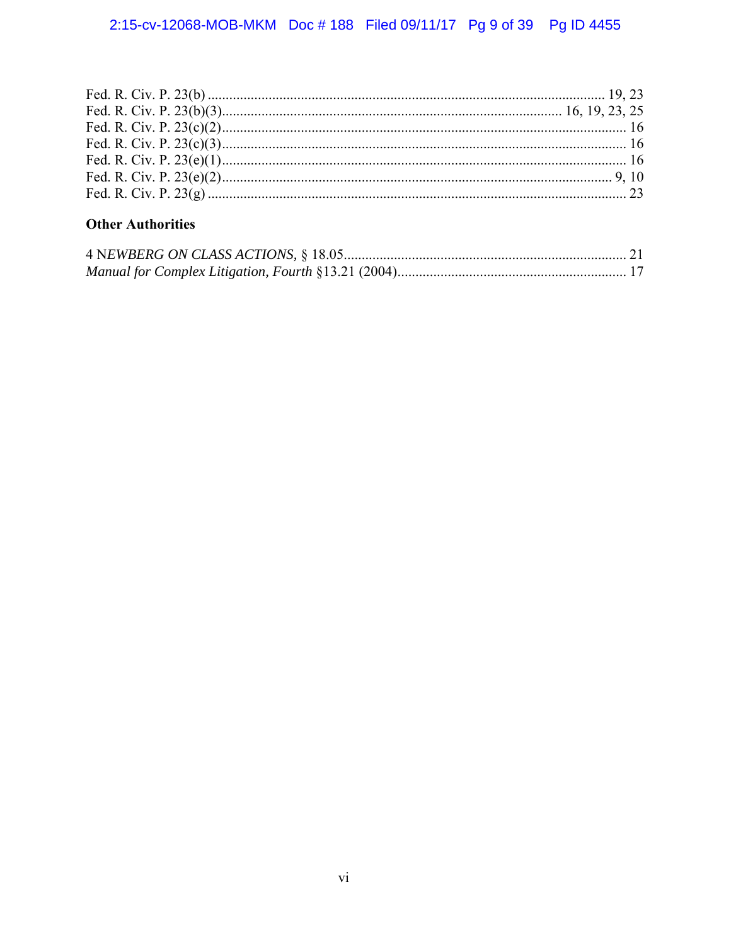# **Other Authorities**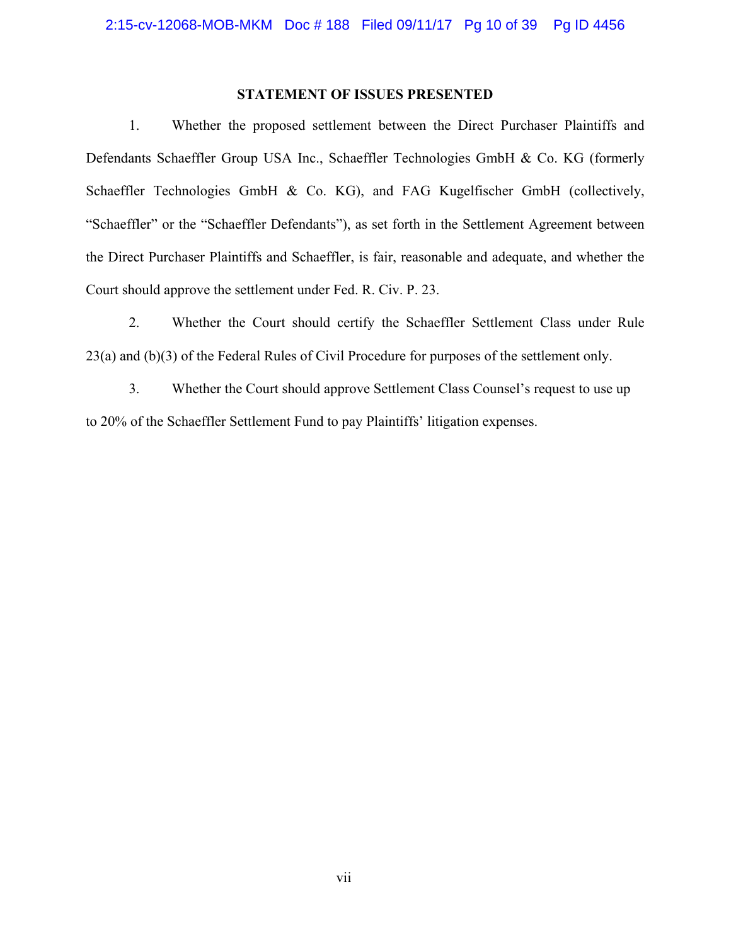## **STATEMENT OF ISSUES PRESENTED**

1. Whether the proposed settlement between the Direct Purchaser Plaintiffs and Defendants Schaeffler Group USA Inc., Schaeffler Technologies GmbH & Co. KG (formerly Schaeffler Technologies GmbH & Co. KG), and FAG Kugelfischer GmbH (collectively, "Schaeffler" or the "Schaeffler Defendants"), as set forth in the Settlement Agreement between the Direct Purchaser Plaintiffs and Schaeffler, is fair, reasonable and adequate, and whether the Court should approve the settlement under Fed. R. Civ. P. 23.

2. Whether the Court should certify the Schaeffler Settlement Class under Rule 23(a) and (b)(3) of the Federal Rules of Civil Procedure for purposes of the settlement only.

3. Whether the Court should approve Settlement Class Counsel's request to use up to 20% of the Schaeffler Settlement Fund to pay Plaintiffs' litigation expenses.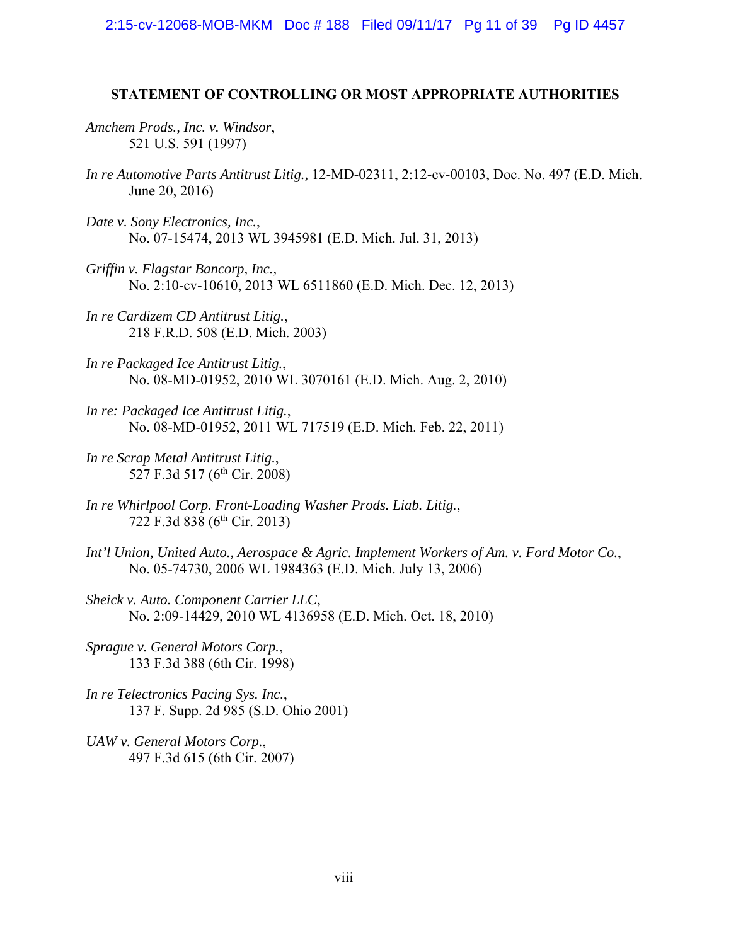2:15-cv-12068-MOB-MKM Doc # 188 Filed 09/11/17 Pg 11 of 39 Pg ID 4457

#### **STATEMENT OF CONTROLLING OR MOST APPROPRIATE AUTHORITIES**

*Amchem Prods., Inc. v. Windsor*, 521 U.S. 591 (1997)

- *In re Automotive Parts Antitrust Litig.,* 12-MD-02311, 2:12-cv-00103, Doc. No. 497 (E.D. Mich. June 20, 2016)
- *Date v. Sony Electronics, Inc.*, No. 07-15474, 2013 WL 3945981 (E.D. Mich. Jul. 31, 2013)
- *Griffin v. Flagstar Bancorp, Inc.,* No. 2:10-cv-10610, 2013 WL 6511860 (E.D. Mich. Dec. 12, 2013)
- *In re Cardizem CD Antitrust Litig.*, 218 F.R.D. 508 (E.D. Mich. 2003)
- *In re Packaged Ice Antitrust Litig.*, No. 08-MD-01952, 2010 WL 3070161 (E.D. Mich. Aug. 2, 2010)
- *In re: Packaged Ice Antitrust Litig.*, No. 08-MD-01952, 2011 WL 717519 (E.D. Mich. Feb. 22, 2011)
- *In re Scrap Metal Antitrust Litig.*, 527 F.3d 517 (6<sup>th</sup> Cir. 2008)
- *In re Whirlpool Corp. Front-Loading Washer Prods. Liab. Litig.*, 722 F.3d 838 (6<sup>th</sup> Cir. 2013)
- *Int'l Union, United Auto., Aerospace & Agric. Implement Workers of Am. v. Ford Motor Co.*, No. 05-74730, 2006 WL 1984363 (E.D. Mich. July 13, 2006)
- *Sheick v. Auto. Component Carrier LLC*, No. 2:09-14429, 2010 WL 4136958 (E.D. Mich. Oct. 18, 2010)
- *Sprague v. General Motors Corp.*, 133 F.3d 388 (6th Cir. 1998)
- *In re Telectronics Pacing Sys. Inc.*, 137 F. Supp. 2d 985 (S.D. Ohio 2001)
- *UAW v. General Motors Corp.*, 497 F.3d 615 (6th Cir. 2007)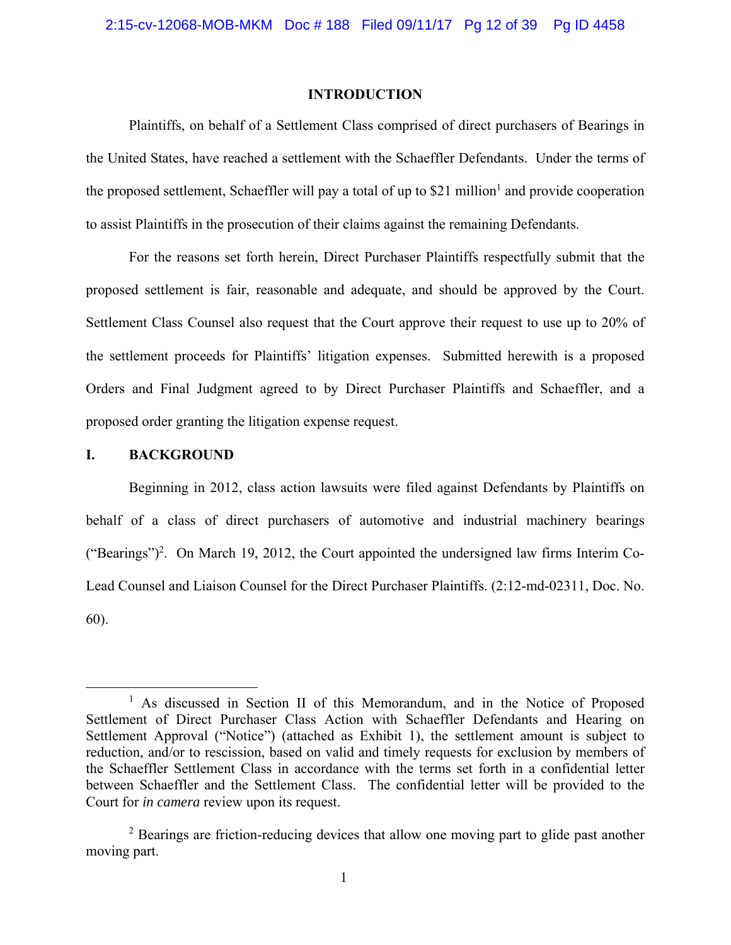#### **INTRODUCTION**

Plaintiffs, on behalf of a Settlement Class comprised of direct purchasers of Bearings in the United States, have reached a settlement with the Schaeffler Defendants. Under the terms of the proposed settlement, Schaeffler will pay a total of up to \$21 million<sup>1</sup> and provide cooperation to assist Plaintiffs in the prosecution of their claims against the remaining Defendants.

For the reasons set forth herein, Direct Purchaser Plaintiffs respectfully submit that the proposed settlement is fair, reasonable and adequate, and should be approved by the Court. Settlement Class Counsel also request that the Court approve their request to use up to 20% of the settlement proceeds for Plaintiffs' litigation expenses. Submitted herewith is a proposed Orders and Final Judgment agreed to by Direct Purchaser Plaintiffs and Schaeffler, and a proposed order granting the litigation expense request.

### **I. BACKGROUND**

Beginning in 2012, class action lawsuits were filed against Defendants by Plaintiffs on behalf of a class of direct purchasers of automotive and industrial machinery bearings ("Bearings")<sup>2</sup>. On March 19, 2012, the Court appointed the undersigned law firms Interim Co-Lead Counsel and Liaison Counsel for the Direct Purchaser Plaintiffs. (2:12-md-02311, Doc. No. 60).

 $\overline{\phantom{a}}$ <sup>1</sup> As discussed in Section II of this Memorandum, and in the Notice of Proposed Settlement of Direct Purchaser Class Action with Schaeffler Defendants and Hearing on Settlement Approval ("Notice") (attached as Exhibit 1), the settlement amount is subject to reduction, and/or to rescission, based on valid and timely requests for exclusion by members of the Schaeffler Settlement Class in accordance with the terms set forth in a confidential letter between Schaeffler and the Settlement Class. The confidential letter will be provided to the Court for *in camera* review upon its request.

<sup>&</sup>lt;sup>2</sup> Bearings are friction-reducing devices that allow one moving part to glide past another moving part.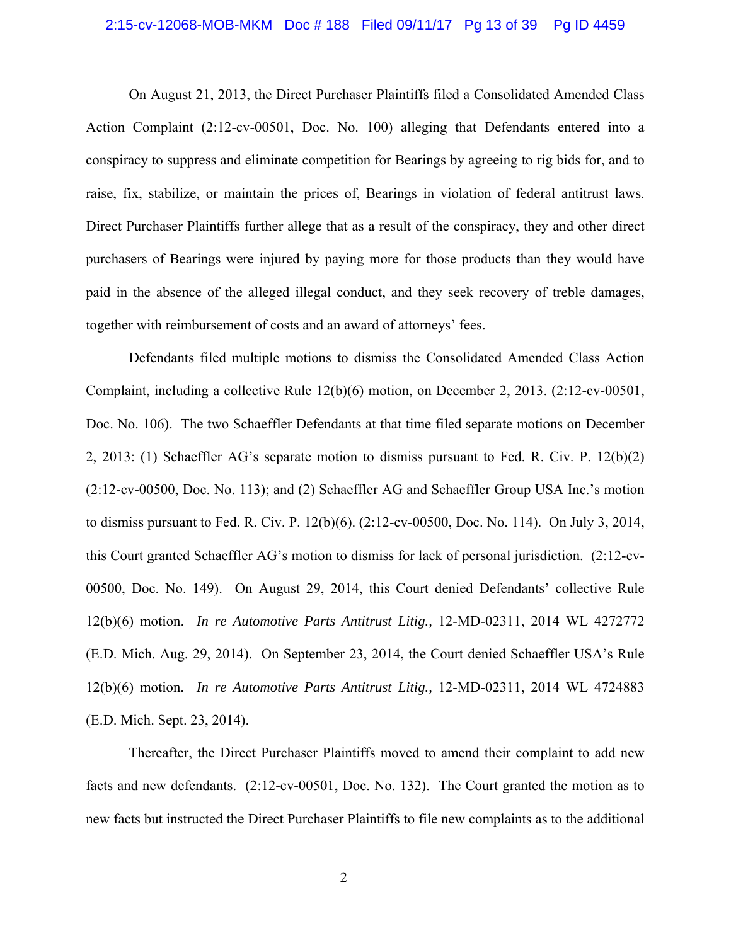#### 2:15-cv-12068-MOB-MKM Doc # 188 Filed 09/11/17 Pg 13 of 39 Pg ID 4459

On August 21, 2013, the Direct Purchaser Plaintiffs filed a Consolidated Amended Class Action Complaint (2:12-cv-00501, Doc. No. 100) alleging that Defendants entered into a conspiracy to suppress and eliminate competition for Bearings by agreeing to rig bids for, and to raise, fix, stabilize, or maintain the prices of, Bearings in violation of federal antitrust laws. Direct Purchaser Plaintiffs further allege that as a result of the conspiracy, they and other direct purchasers of Bearings were injured by paying more for those products than they would have paid in the absence of the alleged illegal conduct, and they seek recovery of treble damages, together with reimbursement of costs and an award of attorneys' fees.

Defendants filed multiple motions to dismiss the Consolidated Amended Class Action Complaint, including a collective Rule 12(b)(6) motion, on December 2, 2013. (2:12-cv-00501, Doc. No. 106). The two Schaeffler Defendants at that time filed separate motions on December 2, 2013: (1) Schaeffler AG's separate motion to dismiss pursuant to Fed. R. Civ. P. 12(b)(2) (2:12-cv-00500, Doc. No. 113); and (2) Schaeffler AG and Schaeffler Group USA Inc.'s motion to dismiss pursuant to Fed. R. Civ. P. 12(b)(6). (2:12-cv-00500, Doc. No. 114). On July 3, 2014, this Court granted Schaeffler AG's motion to dismiss for lack of personal jurisdiction. (2:12-cv-00500, Doc. No. 149). On August 29, 2014, this Court denied Defendants' collective Rule 12(b)(6) motion. *In re Automotive Parts Antitrust Litig.,* 12-MD-02311, 2014 WL 4272772 (E.D. Mich. Aug. 29, 2014). On September 23, 2014, the Court denied Schaeffler USA's Rule 12(b)(6) motion. *In re Automotive Parts Antitrust Litig.,* 12-MD-02311, 2014 WL 4724883 (E.D. Mich. Sept. 23, 2014).

Thereafter, the Direct Purchaser Plaintiffs moved to amend their complaint to add new facts and new defendants. (2:12-cv-00501, Doc. No. 132). The Court granted the motion as to new facts but instructed the Direct Purchaser Plaintiffs to file new complaints as to the additional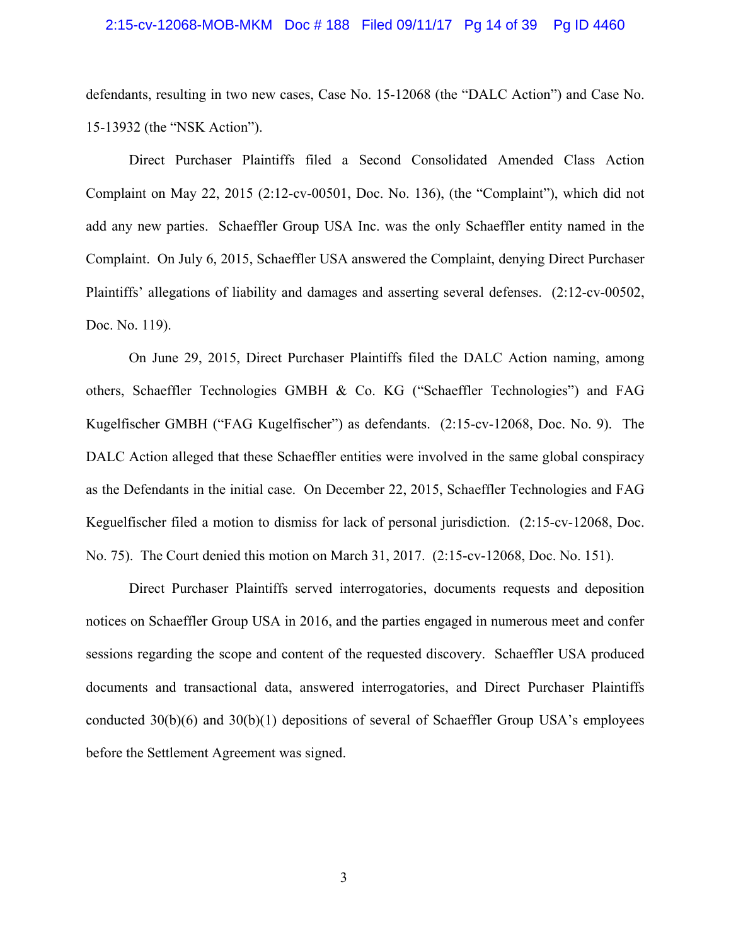#### 2:15-cv-12068-MOB-MKM Doc # 188 Filed 09/11/17 Pg 14 of 39 Pg ID 4460

defendants, resulting in two new cases, Case No. 15-12068 (the "DALC Action") and Case No. 15-13932 (the "NSK Action").

Direct Purchaser Plaintiffs filed a Second Consolidated Amended Class Action Complaint on May 22, 2015 (2:12-cv-00501, Doc. No. 136), (the "Complaint"), which did not add any new parties. Schaeffler Group USA Inc. was the only Schaeffler entity named in the Complaint. On July 6, 2015, Schaeffler USA answered the Complaint, denying Direct Purchaser Plaintiffs' allegations of liability and damages and asserting several defenses. (2:12-cv-00502, Doc. No. 119).

On June 29, 2015, Direct Purchaser Plaintiffs filed the DALC Action naming, among others, Schaeffler Technologies GMBH & Co. KG ("Schaeffler Technologies") and FAG Kugelfischer GMBH ("FAG Kugelfischer") as defendants. (2:15-cv-12068, Doc. No. 9). The DALC Action alleged that these Schaeffler entities were involved in the same global conspiracy as the Defendants in the initial case. On December 22, 2015, Schaeffler Technologies and FAG Keguelfischer filed a motion to dismiss for lack of personal jurisdiction. (2:15-cv-12068, Doc. No. 75). The Court denied this motion on March 31, 2017. (2:15-cv-12068, Doc. No. 151).

Direct Purchaser Plaintiffs served interrogatories, documents requests and deposition notices on Schaeffler Group USA in 2016, and the parties engaged in numerous meet and confer sessions regarding the scope and content of the requested discovery. Schaeffler USA produced documents and transactional data, answered interrogatories, and Direct Purchaser Plaintiffs conducted 30(b)(6) and 30(b)(1) depositions of several of Schaeffler Group USA's employees before the Settlement Agreement was signed.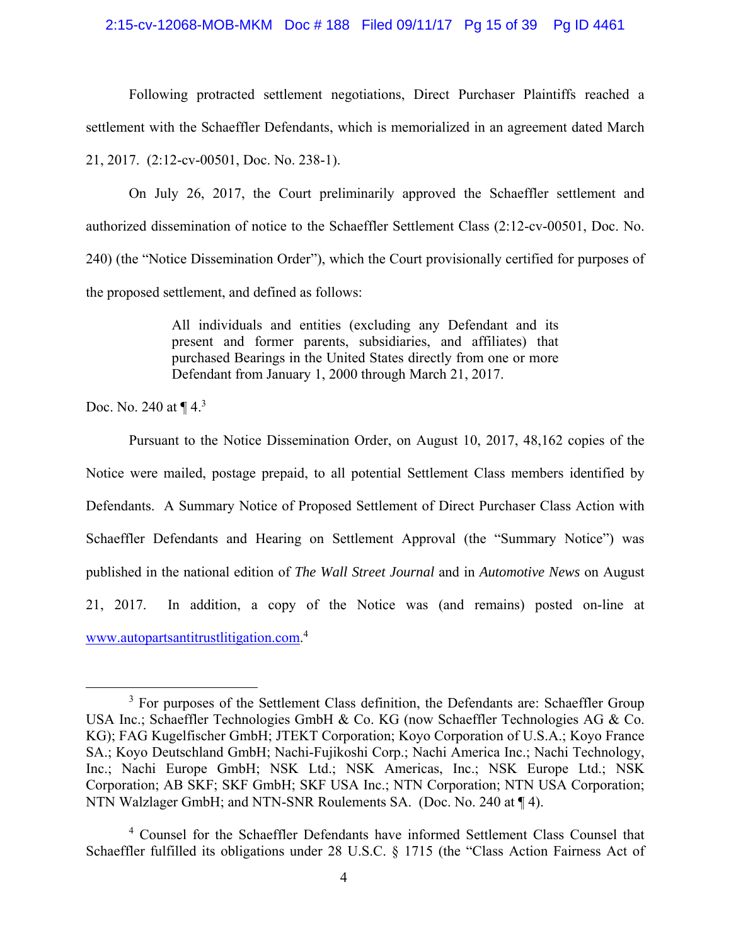#### 2:15-cv-12068-MOB-MKM Doc # 188 Filed 09/11/17 Pg 15 of 39 Pg ID 4461

Following protracted settlement negotiations, Direct Purchaser Plaintiffs reached a settlement with the Schaeffler Defendants, which is memorialized in an agreement dated March 21, 2017. (2:12-cv-00501, Doc. No. 238-1).

On July 26, 2017, the Court preliminarily approved the Schaeffler settlement and authorized dissemination of notice to the Schaeffler Settlement Class (2:12-cv-00501, Doc. No. 240) (the "Notice Dissemination Order"), which the Court provisionally certified for purposes of the proposed settlement, and defined as follows:

> All individuals and entities (excluding any Defendant and its present and former parents, subsidiaries, and affiliates) that purchased Bearings in the United States directly from one or more Defendant from January 1, 2000 through March 21, 2017.

Doc. No. 240 at  $\P 4^3$ 

Pursuant to the Notice Dissemination Order, on August 10, 2017, 48,162 copies of the Notice were mailed, postage prepaid, to all potential Settlement Class members identified by Defendants. A Summary Notice of Proposed Settlement of Direct Purchaser Class Action with Schaeffler Defendants and Hearing on Settlement Approval (the "Summary Notice") was published in the national edition of *The Wall Street Journal* and in *Automotive News* on August 21, 2017. In addition, a copy of the Notice was (and remains) posted on-line at www.autopartsantitrustlitigation.com. 4 

 $\overline{\phantom{a}}$  3  $3$  For purposes of the Settlement Class definition, the Defendants are: Schaeffler Group USA Inc.; Schaeffler Technologies GmbH & Co. KG (now Schaeffler Technologies AG & Co. KG); FAG Kugelfischer GmbH; JTEKT Corporation; Koyo Corporation of U.S.A.; Koyo France SA.; Koyo Deutschland GmbH; Nachi-Fujikoshi Corp.; Nachi America Inc.; Nachi Technology, Inc.; Nachi Europe GmbH; NSK Ltd.; NSK Americas, Inc.; NSK Europe Ltd.; NSK Corporation; AB SKF; SKF GmbH; SKF USA Inc.; NTN Corporation; NTN USA Corporation; NTN Walzlager GmbH; and NTN-SNR Roulements SA. (Doc. No. 240 at ¶ 4).

<sup>4</sup> Counsel for the Schaeffler Defendants have informed Settlement Class Counsel that Schaeffler fulfilled its obligations under 28 U.S.C. § 1715 (the "Class Action Fairness Act of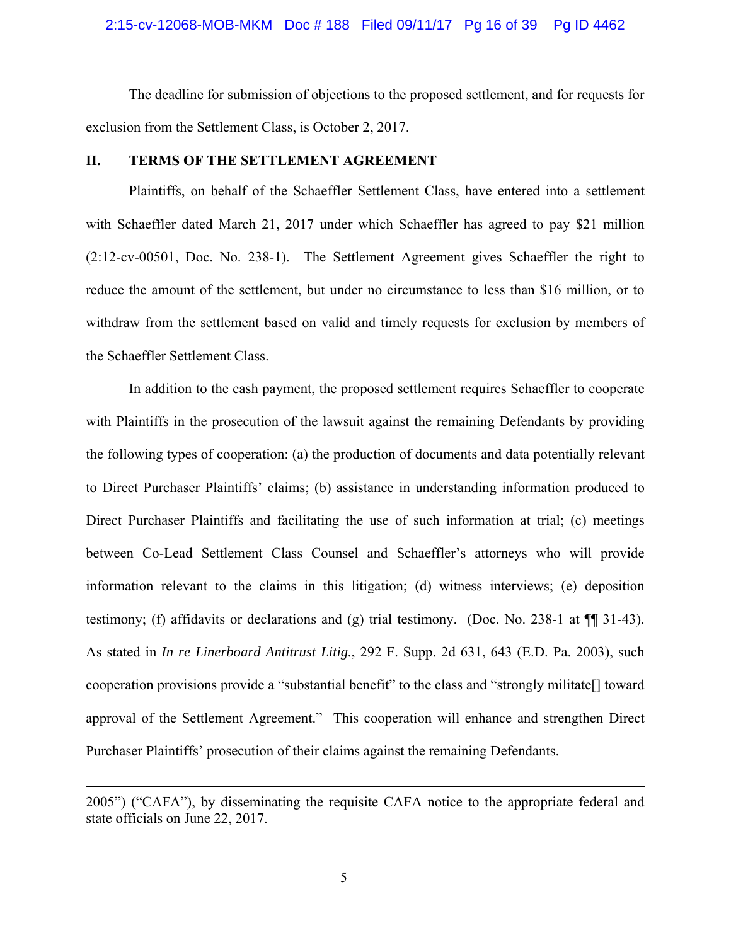# 2:15-cv-12068-MOB-MKM Doc # 188 Filed 09/11/17 Pg 16 of 39 Pg ID 4462

The deadline for submission of objections to the proposed settlement, and for requests for exclusion from the Settlement Class, is October 2, 2017.

### **II. TERMS OF THE SETTLEMENT AGREEMENT**

Plaintiffs, on behalf of the Schaeffler Settlement Class, have entered into a settlement with Schaeffler dated March 21, 2017 under which Schaeffler has agreed to pay \$21 million (2:12-cv-00501, Doc. No. 238-1). The Settlement Agreement gives Schaeffler the right to reduce the amount of the settlement, but under no circumstance to less than \$16 million, or to withdraw from the settlement based on valid and timely requests for exclusion by members of the Schaeffler Settlement Class.

In addition to the cash payment, the proposed settlement requires Schaeffler to cooperate with Plaintiffs in the prosecution of the lawsuit against the remaining Defendants by providing the following types of cooperation: (a) the production of documents and data potentially relevant to Direct Purchaser Plaintiffs' claims; (b) assistance in understanding information produced to Direct Purchaser Plaintiffs and facilitating the use of such information at trial; (c) meetings between Co-Lead Settlement Class Counsel and Schaeffler's attorneys who will provide information relevant to the claims in this litigation; (d) witness interviews; (e) deposition testimony; (f) affidavits or declarations and (g) trial testimony. (Doc. No. 238-1 at ¶¶ 31-43). As stated in *In re Linerboard Antitrust Litig.*, 292 F. Supp. 2d 631, 643 (E.D. Pa. 2003), such cooperation provisions provide a "substantial benefit" to the class and "strongly militate[] toward approval of the Settlement Agreement." This cooperation will enhance and strengthen Direct Purchaser Plaintiffs' prosecution of their claims against the remaining Defendants.

 $\overline{a}$ 

<sup>2005&</sup>quot;) ("CAFA"), by disseminating the requisite CAFA notice to the appropriate federal and state officials on June 22, 2017.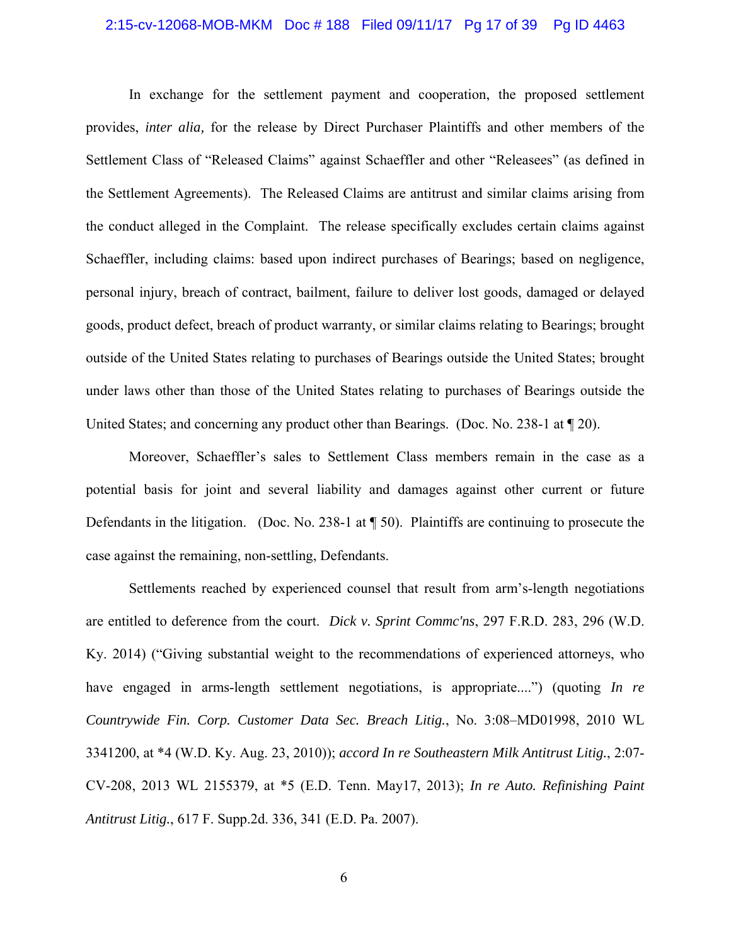#### 2:15-cv-12068-MOB-MKM Doc # 188 Filed 09/11/17 Pg 17 of 39 Pg ID 4463

In exchange for the settlement payment and cooperation, the proposed settlement provides, *inter alia,* for the release by Direct Purchaser Plaintiffs and other members of the Settlement Class of "Released Claims" against Schaeffler and other "Releasees" (as defined in the Settlement Agreements). The Released Claims are antitrust and similar claims arising from the conduct alleged in the Complaint.The release specifically excludes certain claims against Schaeffler, including claims: based upon indirect purchases of Bearings; based on negligence, personal injury, breach of contract, bailment, failure to deliver lost goods, damaged or delayed goods, product defect, breach of product warranty, or similar claims relating to Bearings; brought outside of the United States relating to purchases of Bearings outside the United States; brought under laws other than those of the United States relating to purchases of Bearings outside the United States; and concerning any product other than Bearings. (Doc. No. 238-1 at  $\llbracket 20$ ).

Moreover, Schaeffler's sales to Settlement Class members remain in the case as a potential basis for joint and several liability and damages against other current or future Defendants in the litigation. (Doc. No. 238-1 at ¶ 50). Plaintiffs are continuing to prosecute the case against the remaining, non-settling, Defendants.

Settlements reached by experienced counsel that result from arm's-length negotiations are entitled to deference from the court. *Dick v. Sprint Commc'ns*, 297 F.R.D. 283, 296 (W.D. Ky. 2014) ("Giving substantial weight to the recommendations of experienced attorneys, who have engaged in arms-length settlement negotiations, is appropriate....") (quoting *In re Countrywide Fin. Corp. Customer Data Sec. Breach Litig.*, No. 3:08–MD01998, 2010 WL 3341200, at \*4 (W.D. Ky. Aug. 23, 2010)); *accord In re Southeastern Milk Antitrust Litig.*, 2:07- CV-208, 2013 WL 2155379, at \*5 (E.D. Tenn. May17, 2013); *In re Auto. Refinishing Paint Antitrust Litig.*, 617 F. Supp.2d. 336, 341 (E.D. Pa. 2007).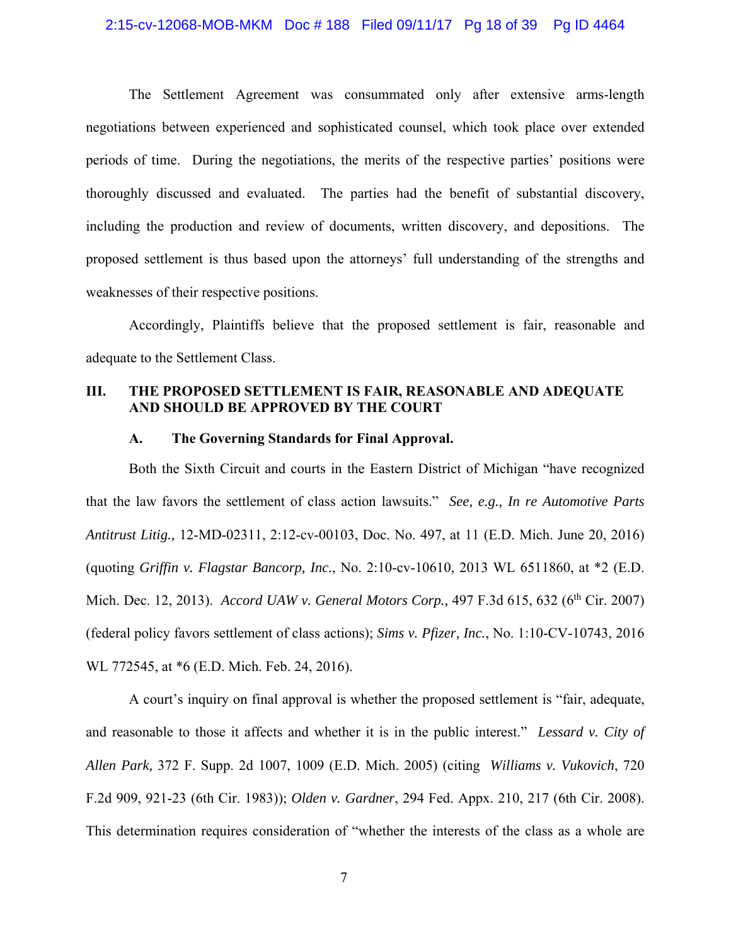# 2:15-cv-12068-MOB-MKM Doc # 188 Filed 09/11/17 Pg 18 of 39 Pg ID 4464

The Settlement Agreement was consummated only after extensive arms-length negotiations between experienced and sophisticated counsel, which took place over extended periods of time. During the negotiations, the merits of the respective parties' positions were thoroughly discussed and evaluated. The parties had the benefit of substantial discovery, including the production and review of documents, written discovery, and depositions. The proposed settlement is thus based upon the attorneys' full understanding of the strengths and weaknesses of their respective positions.

Accordingly, Plaintiffs believe that the proposed settlement is fair, reasonable and adequate to the Settlement Class.

# **III. THE PROPOSED SETTLEMENT IS FAIR, REASONABLE AND ADEQUATE AND SHOULD BE APPROVED BY THE COURT**

#### **A. The Governing Standards for Final Approval.**

Both the Sixth Circuit and courts in the Eastern District of Michigan "have recognized that the law favors the settlement of class action lawsuits." *See, e.g., In re Automotive Parts Antitrust Litig.,* 12-MD-02311, 2:12-cv-00103, Doc. No. 497, at 11 (E.D. Mich. June 20, 2016) (quoting *Griffin v. Flagstar Bancorp, Inc.*, No. 2:10-cv-10610, 2013 WL 6511860, at \*2 (E.D. Mich. Dec. 12, 2013). *Accord UAW v. General Motors Corp.*, 497 F.3d 615, 632 (6<sup>th</sup> Cir. 2007) (federal policy favors settlement of class actions); *Sims v. Pfizer, Inc.*, No. 1:10-CV-10743, 2016 WL 772545, at \*6 (E.D. Mich. Feb. 24, 2016).

A court's inquiry on final approval is whether the proposed settlement is "fair, adequate, and reasonable to those it affects and whether it is in the public interest." *Lessard v. City of Allen Park,* 372 F. Supp. 2d 1007, 1009 (E.D. Mich. 2005) (citing *Williams v. Vukovich*, 720 F.2d 909, 921-23 (6th Cir. 1983)); *Olden v. Gardner*, 294 Fed. Appx. 210, 217 (6th Cir. 2008). This determination requires consideration of "whether the interests of the class as a whole are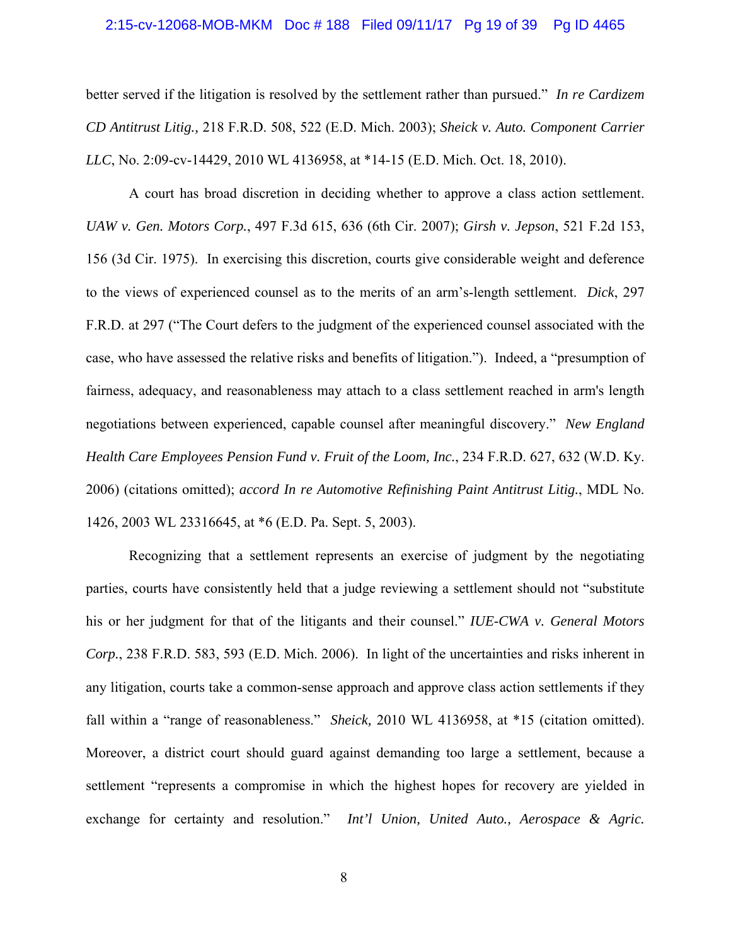#### 2:15-cv-12068-MOB-MKM Doc # 188 Filed 09/11/17 Pg 19 of 39 Pg ID 4465

better served if the litigation is resolved by the settlement rather than pursued." *In re Cardizem CD Antitrust Litig.,* 218 F.R.D. 508, 522 (E.D. Mich. 2003); *Sheick v. Auto. Component Carrier LLC*, No. 2:09-cv-14429, 2010 WL 4136958, at \*14-15 (E.D. Mich. Oct. 18, 2010).

A court has broad discretion in deciding whether to approve a class action settlement. *UAW v. Gen. Motors Corp.*, 497 F.3d 615, 636 (6th Cir. 2007); *Girsh v. Jepson*, 521 F.2d 153, 156 (3d Cir. 1975). In exercising this discretion, courts give considerable weight and deference to the views of experienced counsel as to the merits of an arm's-length settlement. *Dick*, 297 F.R.D. at 297 ("The Court defers to the judgment of the experienced counsel associated with the case, who have assessed the relative risks and benefits of litigation."). Indeed, a "presumption of fairness, adequacy, and reasonableness may attach to a class settlement reached in arm's length negotiations between experienced, capable counsel after meaningful discovery." *New England Health Care Employees Pension Fund v. Fruit of the Loom, Inc.*, 234 F.R.D. 627, 632 (W.D. Ky. 2006) (citations omitted); *accord In re Automotive Refinishing Paint Antitrust Litig.*, MDL No. 1426, 2003 WL 23316645, at \*6 (E.D. Pa. Sept. 5, 2003).

Recognizing that a settlement represents an exercise of judgment by the negotiating parties, courts have consistently held that a judge reviewing a settlement should not "substitute his or her judgment for that of the litigants and their counsel." *IUE-CWA v. General Motors Corp.*, 238 F.R.D. 583, 593 (E.D. Mich. 2006). In light of the uncertainties and risks inherent in any litigation, courts take a common-sense approach and approve class action settlements if they fall within a "range of reasonableness." *Sheick*, 2010 WL 4136958, at \*15 (citation omitted). Moreover, a district court should guard against demanding too large a settlement, because a settlement "represents a compromise in which the highest hopes for recovery are yielded in exchange for certainty and resolution." *Int'l Union, United Auto., Aerospace & Agric.*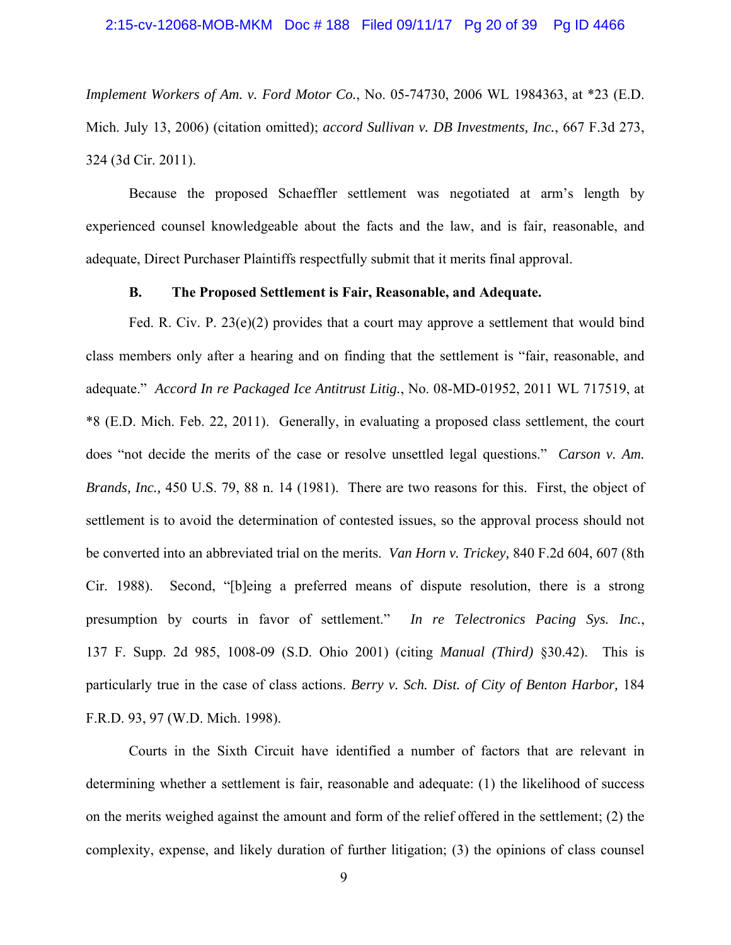#### 2:15-cv-12068-MOB-MKM Doc # 188 Filed 09/11/17 Pg 20 of 39 Pg ID 4466

*Implement Workers of Am. v. Ford Motor Co.*, No. 05-74730, 2006 WL 1984363, at \*23 (E.D. Mich. July 13, 2006) (citation omitted); *accord Sullivan v. DB Investments, Inc.*, 667 F.3d 273, 324 (3d Cir. 2011).

Because the proposed Schaeffler settlement was negotiated at arm's length by experienced counsel knowledgeable about the facts and the law, and is fair, reasonable, and adequate, Direct Purchaser Plaintiffs respectfully submit that it merits final approval.

## **B. The Proposed Settlement is Fair, Reasonable, and Adequate.**

Fed. R. Civ. P. 23(e)(2) provides that a court may approve a settlement that would bind class members only after a hearing and on finding that the settlement is "fair, reasonable, and adequate." *Accord In re Packaged Ice Antitrust Litig.*, No. 08-MD-01952, 2011 WL 717519, at \*8 (E.D. Mich. Feb. 22, 2011). Generally, in evaluating a proposed class settlement, the court does "not decide the merits of the case or resolve unsettled legal questions." *Carson v. Am. Brands, Inc.,* 450 U.S. 79, 88 n. 14 (1981). There are two reasons for this. First, the object of settlement is to avoid the determination of contested issues, so the approval process should not be converted into an abbreviated trial on the merits. *Van Horn v. Trickey,* 840 F.2d 604, 607 (8th Cir. 1988). Second, "[b]eing a preferred means of dispute resolution, there is a strong presumption by courts in favor of settlement." *In re Telectronics Pacing Sys. Inc.*, 137 F. Supp. 2d 985, 1008-09 (S.D. Ohio 2001) (citing *Manual (Third)* §30.42). This is particularly true in the case of class actions. *Berry v. Sch. Dist. of City of Benton Harbor,* 184 F.R.D. 93, 97 (W.D. Mich. 1998).

Courts in the Sixth Circuit have identified a number of factors that are relevant in determining whether a settlement is fair, reasonable and adequate: (1) the likelihood of success on the merits weighed against the amount and form of the relief offered in the settlement; (2) the complexity, expense, and likely duration of further litigation; (3) the opinions of class counsel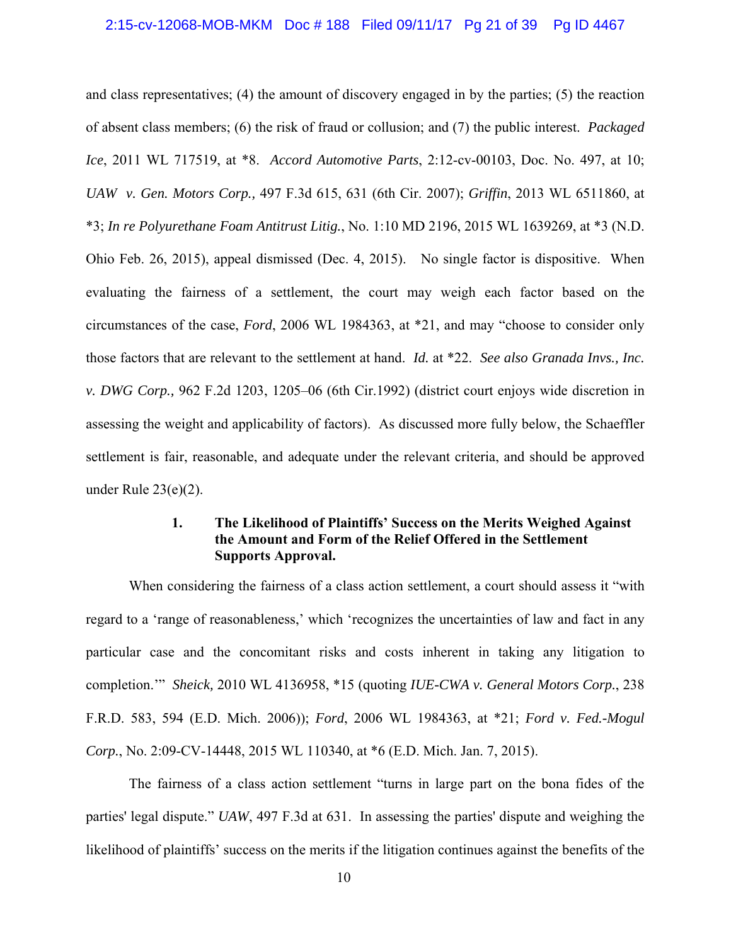#### 2:15-cv-12068-MOB-MKM Doc # 188 Filed 09/11/17 Pg 21 of 39 Pg ID 4467

and class representatives; (4) the amount of discovery engaged in by the parties; (5) the reaction of absent class members; (6) the risk of fraud or collusion; and (7) the public interest. *Packaged Ice*, 2011 WL 717519, at \*8. *Accord Automotive Parts*, 2:12-cv-00103, Doc. No. 497, at 10; *UAW v. Gen. Motors Corp.,* 497 F.3d 615, 631 (6th Cir. 2007); *Griffin*, 2013 WL 6511860, at \*3; *In re Polyurethane Foam Antitrust Litig.*, No. 1:10 MD 2196, 2015 WL 1639269, at \*3 (N.D. Ohio Feb. 26, 2015), appeal dismissed (Dec. 4, 2015). No single factor is dispositive. When evaluating the fairness of a settlement, the court may weigh each factor based on the circumstances of the case, *Ford*, 2006 WL 1984363, at \*21, and may "choose to consider only those factors that are relevant to the settlement at hand. *Id.* at \*22. *See also Granada Invs., Inc. v. DWG Corp.,* 962 F.2d 1203, 1205–06 (6th Cir.1992) (district court enjoys wide discretion in assessing the weight and applicability of factors). As discussed more fully below, the Schaeffler settlement is fair, reasonable, and adequate under the relevant criteria, and should be approved under Rule 23(e)(2).

# **1. The Likelihood of Plaintiffs' Success on the Merits Weighed Against the Amount and Form of the Relief Offered in the Settlement Supports Approval.**

When considering the fairness of a class action settlement, a court should assess it "with regard to a 'range of reasonableness,' which 'recognizes the uncertainties of law and fact in any particular case and the concomitant risks and costs inherent in taking any litigation to completion.'" *Sheick,* 2010 WL 4136958, \*15 (quoting *IUE-CWA v. General Motors Corp.*, 238 F.R.D. 583, 594 (E.D. Mich. 2006)); *Ford*, 2006 WL 1984363, at \*21; *Ford v. Fed.-Mogul Corp.*, No. 2:09-CV-14448, 2015 WL 110340, at \*6 (E.D. Mich. Jan. 7, 2015).

The fairness of a class action settlement "turns in large part on the bona fides of the parties' legal dispute." *UAW*, 497 F.3d at 631. In assessing the parties' dispute and weighing the likelihood of plaintiffs' success on the merits if the litigation continues against the benefits of the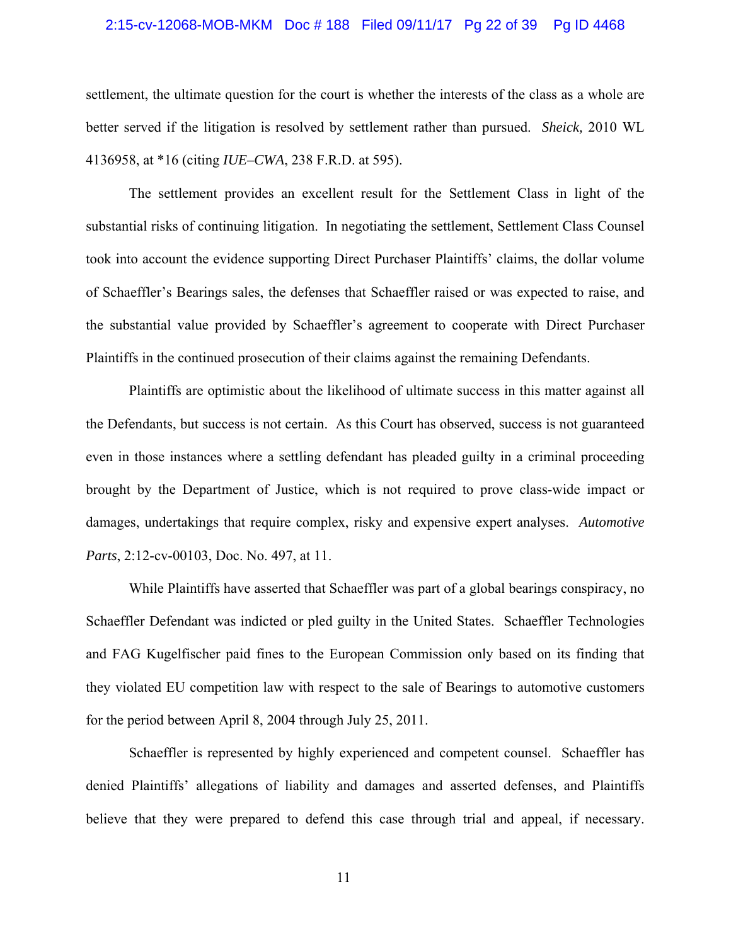#### 2:15-cv-12068-MOB-MKM Doc # 188 Filed 09/11/17 Pg 22 of 39 Pg ID 4468

settlement, the ultimate question for the court is whether the interests of the class as a whole are better served if the litigation is resolved by settlement rather than pursued. *Sheick,* 2010 WL 4136958, at \*16 (citing *IUE–CWA*, 238 F.R.D. at 595).

The settlement provides an excellent result for the Settlement Class in light of the substantial risks of continuing litigation. In negotiating the settlement, Settlement Class Counsel took into account the evidence supporting Direct Purchaser Plaintiffs' claims, the dollar volume of Schaeffler's Bearings sales, the defenses that Schaeffler raised or was expected to raise, and the substantial value provided by Schaeffler's agreement to cooperate with Direct Purchaser Plaintiffs in the continued prosecution of their claims against the remaining Defendants.

Plaintiffs are optimistic about the likelihood of ultimate success in this matter against all the Defendants, but success is not certain. As this Court has observed, success is not guaranteed even in those instances where a settling defendant has pleaded guilty in a criminal proceeding brought by the Department of Justice, which is not required to prove class-wide impact or damages, undertakings that require complex, risky and expensive expert analyses. *Automotive Parts*, 2:12-cv-00103, Doc. No. 497, at 11.

While Plaintiffs have asserted that Schaeffler was part of a global bearings conspiracy, no Schaeffler Defendant was indicted or pled guilty in the United States. Schaeffler Technologies and FAG Kugelfischer paid fines to the European Commission only based on its finding that they violated EU competition law with respect to the sale of Bearings to automotive customers for the period between April 8, 2004 through July 25, 2011.

Schaeffler is represented by highly experienced and competent counsel. Schaeffler has denied Plaintiffs' allegations of liability and damages and asserted defenses, and Plaintiffs believe that they were prepared to defend this case through trial and appeal, if necessary.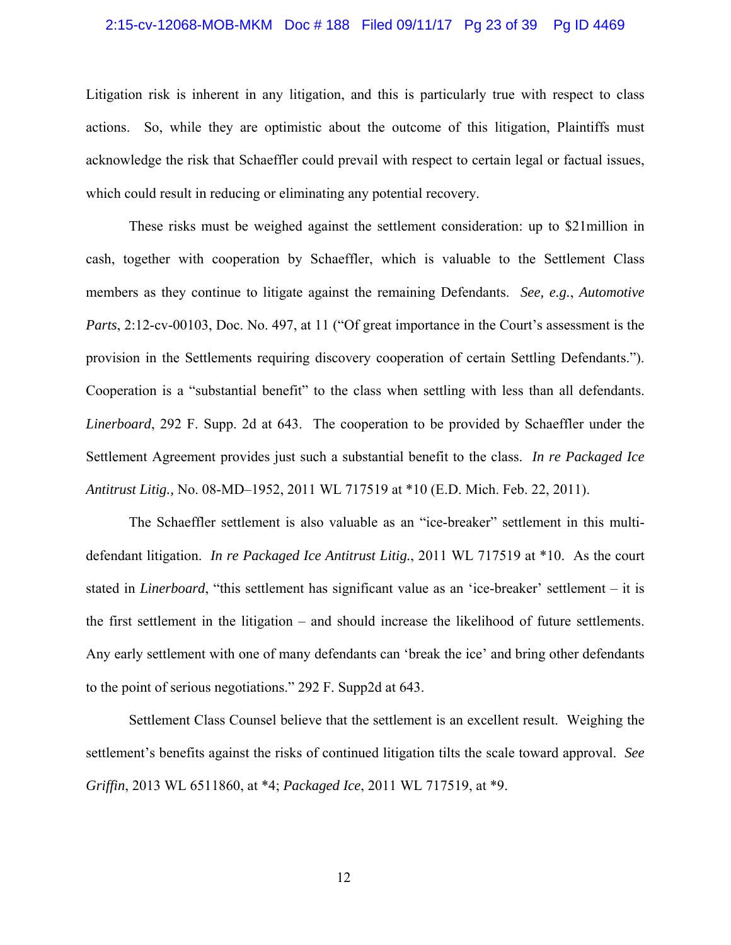#### 2:15-cv-12068-MOB-MKM Doc # 188 Filed 09/11/17 Pg 23 of 39 Pg ID 4469

Litigation risk is inherent in any litigation, and this is particularly true with respect to class actions. So, while they are optimistic about the outcome of this litigation, Plaintiffs must acknowledge the risk that Schaeffler could prevail with respect to certain legal or factual issues, which could result in reducing or eliminating any potential recovery.

These risks must be weighed against the settlement consideration: up to \$21million in cash, together with cooperation by Schaeffler, which is valuable to the Settlement Class members as they continue to litigate against the remaining Defendants. *See, e.g.*, *Automotive Parts*, 2:12-cv-00103, Doc. No. 497, at 11 ("Of great importance in the Court's assessment is the provision in the Settlements requiring discovery cooperation of certain Settling Defendants."). Cooperation is a "substantial benefit" to the class when settling with less than all defendants. *Linerboard*, 292 F. Supp. 2d at 643. The cooperation to be provided by Schaeffler under the Settlement Agreement provides just such a substantial benefit to the class. *In re Packaged Ice Antitrust Litig.,* No. 08-MD–1952, 2011 WL 717519 at \*10 (E.D. Mich. Feb. 22, 2011).

The Schaeffler settlement is also valuable as an "ice-breaker" settlement in this multidefendant litigation. *In re Packaged Ice Antitrust Litig.*, 2011 WL 717519 at \*10. As the court stated in *Linerboard*, "this settlement has significant value as an 'ice-breaker' settlement – it is the first settlement in the litigation – and should increase the likelihood of future settlements. Any early settlement with one of many defendants can 'break the ice' and bring other defendants to the point of serious negotiations." 292 F. Supp2d at 643.

Settlement Class Counsel believe that the settlement is an excellent result. Weighing the settlement's benefits against the risks of continued litigation tilts the scale toward approval. *See Griffin*, 2013 WL 6511860, at \*4; *Packaged Ice*, 2011 WL 717519, at \*9.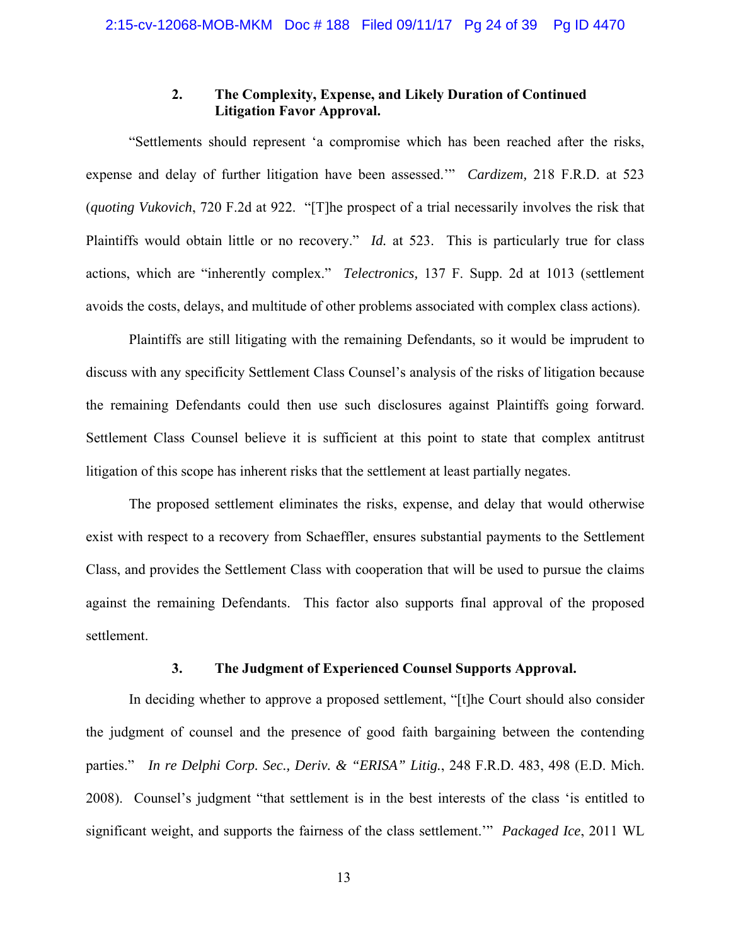# **2. The Complexity, Expense, and Likely Duration of Continued Litigation Favor Approval.**

"Settlements should represent 'a compromise which has been reached after the risks, expense and delay of further litigation have been assessed.'" *Cardizem,* 218 F.R.D. at 523 (*quoting Vukovich*, 720 F.2d at 922. "[T]he prospect of a trial necessarily involves the risk that Plaintiffs would obtain little or no recovery." *Id.* at 523. This is particularly true for class actions, which are "inherently complex." *Telectronics,* 137 F. Supp. 2d at 1013 (settlement avoids the costs, delays, and multitude of other problems associated with complex class actions).

Plaintiffs are still litigating with the remaining Defendants, so it would be imprudent to discuss with any specificity Settlement Class Counsel's analysis of the risks of litigation because the remaining Defendants could then use such disclosures against Plaintiffs going forward. Settlement Class Counsel believe it is sufficient at this point to state that complex antitrust litigation of this scope has inherent risks that the settlement at least partially negates.

The proposed settlement eliminates the risks, expense, and delay that would otherwise exist with respect to a recovery from Schaeffler, ensures substantial payments to the Settlement Class, and provides the Settlement Class with cooperation that will be used to pursue the claims against the remaining Defendants. This factor also supports final approval of the proposed settlement.

#### **3. The Judgment of Experienced Counsel Supports Approval.**

In deciding whether to approve a proposed settlement, "[t]he Court should also consider the judgment of counsel and the presence of good faith bargaining between the contending parties." *In re Delphi Corp. Sec., Deriv. & "ERISA" Litig.*, 248 F.R.D. 483, 498 (E.D. Mich. 2008). Counsel's judgment "that settlement is in the best interests of the class 'is entitled to significant weight, and supports the fairness of the class settlement.'" *Packaged Ice*, 2011 WL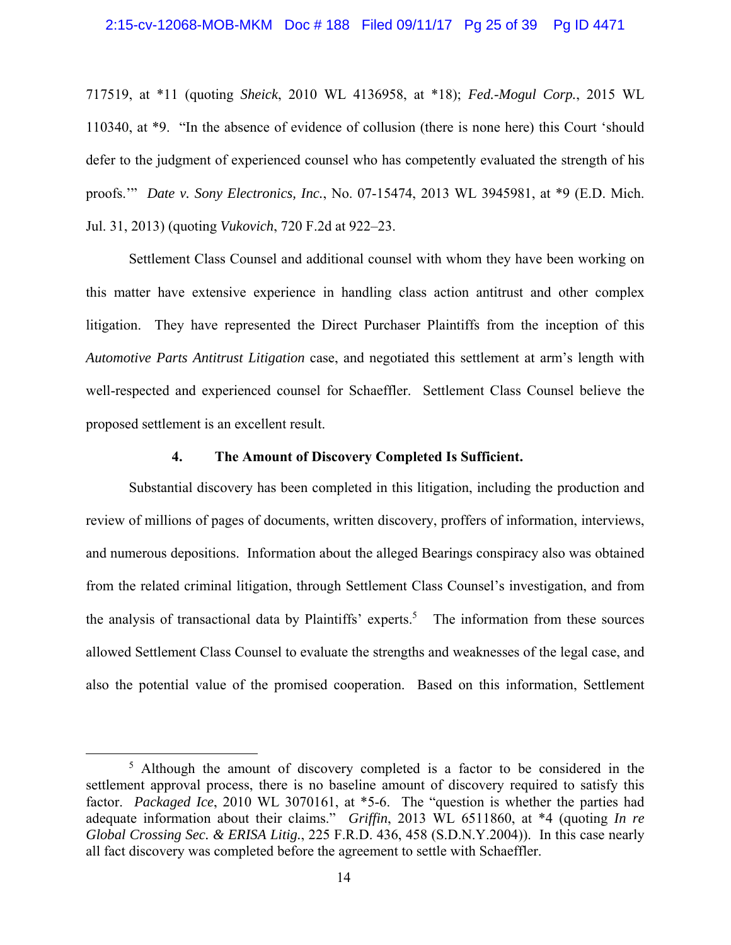#### 2:15-cv-12068-MOB-MKM Doc # 188 Filed 09/11/17 Pg 25 of 39 Pg ID 4471

717519, at \*11 (quoting *Sheick*, 2010 WL 4136958, at \*18); *Fed.-Mogul Corp.*, 2015 WL 110340, at \*9. "In the absence of evidence of collusion (there is none here) this Court 'should defer to the judgment of experienced counsel who has competently evaluated the strength of his proofs.'" *Date v. Sony Electronics, Inc.*, No. 07-15474, 2013 WL 3945981, at \*9 (E.D. Mich. Jul. 31, 2013) (quoting *Vukovich*, 720 F.2d at 922–23.

Settlement Class Counsel and additional counsel with whom they have been working on this matter have extensive experience in handling class action antitrust and other complex litigation. They have represented the Direct Purchaser Plaintiffs from the inception of this *Automotive Parts Antitrust Litigation* case, and negotiated this settlement at arm's length with well-respected and experienced counsel for Schaeffler. Settlement Class Counsel believe the proposed settlement is an excellent result.

#### **4. The Amount of Discovery Completed Is Sufficient.**

Substantial discovery has been completed in this litigation, including the production and review of millions of pages of documents, written discovery, proffers of information, interviews, and numerous depositions. Information about the alleged Bearings conspiracy also was obtained from the related criminal litigation, through Settlement Class Counsel's investigation, and from the analysis of transactional data by Plaintiffs' experts.<sup>5</sup> The information from these sources allowed Settlement Class Counsel to evaluate the strengths and weaknesses of the legal case, and also the potential value of the promised cooperation. Based on this information, Settlement

 $rac{1}{5}$ <sup>5</sup> Although the amount of discovery completed is a factor to be considered in the settlement approval process, there is no baseline amount of discovery required to satisfy this factor. *Packaged Ice*, 2010 WL 3070161, at \*5-6. The "question is whether the parties had adequate information about their claims." *Griffin*, 2013 WL 6511860, at \*4 (quoting *In re Global Crossing Sec. & ERISA Litig.*, 225 F.R.D. 436, 458 (S.D.N.Y.2004)). In this case nearly all fact discovery was completed before the agreement to settle with Schaeffler.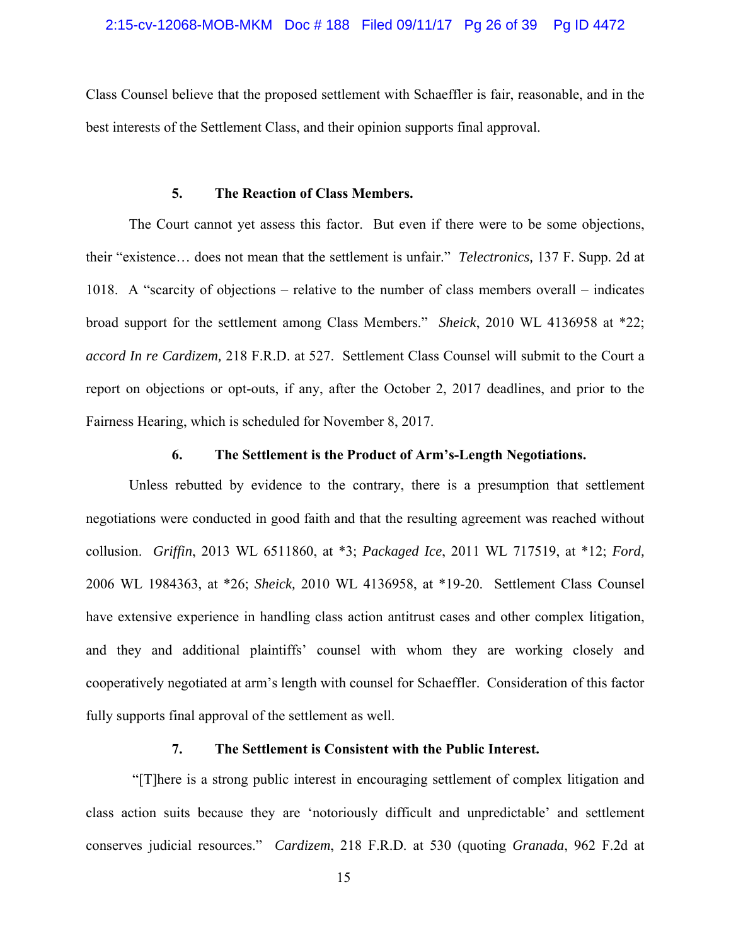Class Counsel believe that the proposed settlement with Schaeffler is fair, reasonable, and in the best interests of the Settlement Class, and their opinion supports final approval.

## **5. The Reaction of Class Members.**

The Court cannot yet assess this factor. But even if there were to be some objections, their "existence… does not mean that the settlement is unfair." *Telectronics,* 137 F. Supp. 2d at 1018. A "scarcity of objections – relative to the number of class members overall – indicates broad support for the settlement among Class Members." *Sheick*, 2010 WL 4136958 at \*22; *accord In re Cardizem,* 218 F.R.D. at 527. Settlement Class Counsel will submit to the Court a report on objections or opt-outs, if any, after the October 2, 2017 deadlines, and prior to the Fairness Hearing, which is scheduled for November 8, 2017.

### **6. The Settlement is the Product of Arm's-Length Negotiations.**

Unless rebutted by evidence to the contrary, there is a presumption that settlement negotiations were conducted in good faith and that the resulting agreement was reached without collusion. *Griffin*, 2013 WL 6511860, at \*3; *Packaged Ice*, 2011 WL 717519, at \*12; *Ford,*  2006 WL 1984363, at \*26; *Sheick,* 2010 WL 4136958, at \*19-20. Settlement Class Counsel have extensive experience in handling class action antitrust cases and other complex litigation, and they and additional plaintiffs' counsel with whom they are working closely and cooperatively negotiated at arm's length with counsel for Schaeffler. Consideration of this factor fully supports final approval of the settlement as well.

## **7. The Settlement is Consistent with the Public Interest.**

 "[T]here is a strong public interest in encouraging settlement of complex litigation and class action suits because they are 'notoriously difficult and unpredictable' and settlement conserves judicial resources." *Cardizem*, 218 F.R.D. at 530 (quoting *Granada*, 962 F.2d at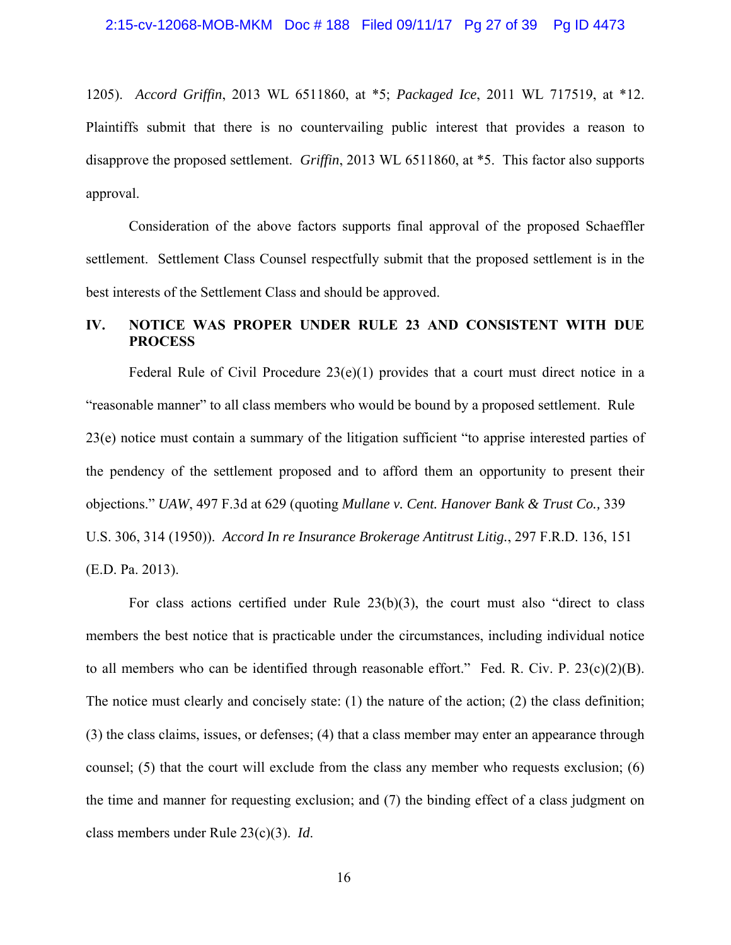1205). *Accord Griffin*, 2013 WL 6511860, at \*5; *Packaged Ice*, 2011 WL 717519, at \*12. Plaintiffs submit that there is no countervailing public interest that provides a reason to disapprove the proposed settlement. *Griffin*, 2013 WL 6511860, at \*5. This factor also supports approval.

Consideration of the above factors supports final approval of the proposed Schaeffler settlement. Settlement Class Counsel respectfully submit that the proposed settlement is in the best interests of the Settlement Class and should be approved.

## **IV. NOTICE WAS PROPER UNDER RULE 23 AND CONSISTENT WITH DUE PROCESS**

Federal Rule of Civil Procedure 23(e)(1) provides that a court must direct notice in a "reasonable manner" to all class members who would be bound by a proposed settlement. Rule 23(e) notice must contain a summary of the litigation sufficient "to apprise interested parties of the pendency of the settlement proposed and to afford them an opportunity to present their objections." *UAW*, 497 F.3d at 629 (quoting *Mullane v. Cent. Hanover Bank & Trust Co.,* 339 U.S. 306, 314 (1950)). *Accord In re Insurance Brokerage Antitrust Litig.*, 297 F.R.D. 136, 151 (E.D. Pa. 2013).

For class actions certified under Rule  $23(b)(3)$ , the court must also "direct to class" members the best notice that is practicable under the circumstances, including individual notice to all members who can be identified through reasonable effort." Fed. R. Civ. P. 23(c)(2)(B). The notice must clearly and concisely state: (1) the nature of the action; (2) the class definition; (3) the class claims, issues, or defenses; (4) that a class member may enter an appearance through counsel; (5) that the court will exclude from the class any member who requests exclusion; (6) the time and manner for requesting exclusion; and (7) the binding effect of a class judgment on class members under Rule 23(c)(3). *Id*.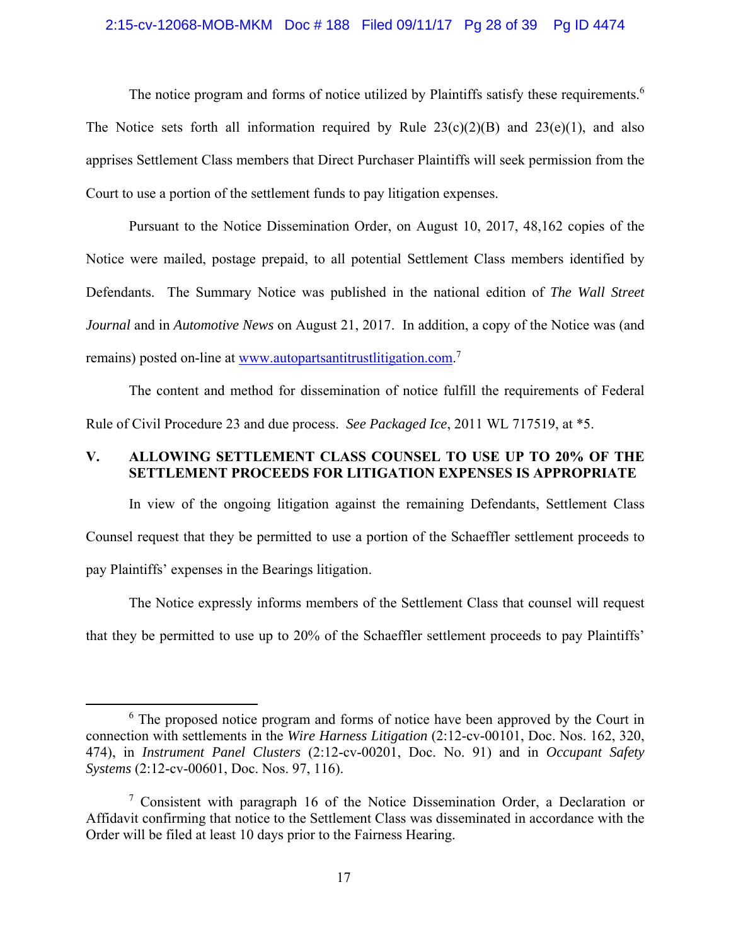#### 2:15-cv-12068-MOB-MKM Doc # 188 Filed 09/11/17 Pg 28 of 39 Pg ID 4474

The notice program and forms of notice utilized by Plaintiffs satisfy these requirements.<sup>6</sup> The Notice sets forth all information required by Rule  $23(c)(2)(B)$  and  $23(e)(1)$ , and also apprises Settlement Class members that Direct Purchaser Plaintiffs will seek permission from the Court to use a portion of the settlement funds to pay litigation expenses.

Pursuant to the Notice Dissemination Order, on August 10, 2017, 48,162 copies of the Notice were mailed, postage prepaid, to all potential Settlement Class members identified by Defendants. The Summary Notice was published in the national edition of *The Wall Street Journal* and in *Automotive News* on August 21, 2017. In addition, a copy of the Notice was (and remains) posted on-line at www.autopartsantitrustlitigation.com.<sup>7</sup>

The content and method for dissemination of notice fulfill the requirements of Federal Rule of Civil Procedure 23 and due process. *See Packaged Ice*, 2011 WL 717519, at \*5.

## **V. ALLOWING SETTLEMENT CLASS COUNSEL TO USE UP TO 20% OF THE SETTLEMENT PROCEEDS FOR LITIGATION EXPENSES IS APPROPRIATE**

In view of the ongoing litigation against the remaining Defendants, Settlement Class Counsel request that they be permitted to use a portion of the Schaeffler settlement proceeds to pay Plaintiffs' expenses in the Bearings litigation.

The Notice expressly informs members of the Settlement Class that counsel will request that they be permitted to use up to 20% of the Schaeffler settlement proceeds to pay Plaintiffs'

 $\begin{array}{c|c}\n\hline\n\end{array}$ <sup>6</sup> The proposed notice program and forms of notice have been approved by the Court in connection with settlements in the *Wire Harness Litigation* (2:12-cv-00101, Doc. Nos. 162, 320, 474), in *Instrument Panel Clusters* (2:12-cv-00201, Doc. No. 91) and in *Occupant Safety Systems* (2:12-cv-00601, Doc. Nos. 97, 116).

<sup>&</sup>lt;sup>7</sup> Consistent with paragraph 16 of the Notice Dissemination Order, a Declaration or Affidavit confirming that notice to the Settlement Class was disseminated in accordance with the Order will be filed at least 10 days prior to the Fairness Hearing.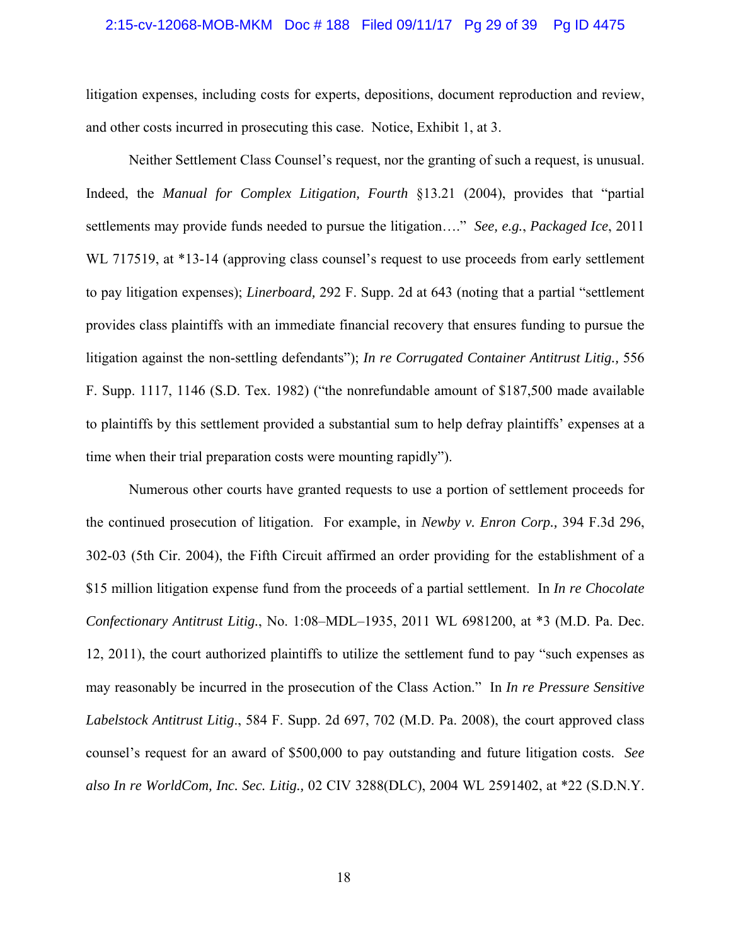#### 2:15-cv-12068-MOB-MKM Doc # 188 Filed 09/11/17 Pg 29 of 39 Pg ID 4475

litigation expenses, including costs for experts, depositions, document reproduction and review, and other costs incurred in prosecuting this case. Notice, Exhibit 1, at 3.

Neither Settlement Class Counsel's request, nor the granting of such a request, is unusual. Indeed, the *Manual for Complex Litigation, Fourth* §13.21 (2004), provides that "partial settlements may provide funds needed to pursue the litigation…." *See, e.g.*, *Packaged Ice*, 2011 WL 717519, at \*13-14 (approving class counsel's request to use proceeds from early settlement to pay litigation expenses); *Linerboard,* 292 F. Supp. 2d at 643 (noting that a partial "settlement provides class plaintiffs with an immediate financial recovery that ensures funding to pursue the litigation against the non-settling defendants"); *In re Corrugated Container Antitrust Litig.,* 556 F. Supp. 1117, 1146 (S.D. Tex. 1982) ("the nonrefundable amount of \$187,500 made available to plaintiffs by this settlement provided a substantial sum to help defray plaintiffs' expenses at a time when their trial preparation costs were mounting rapidly").

Numerous other courts have granted requests to use a portion of settlement proceeds for the continued prosecution of litigation. For example, in *Newby v. Enron Corp.,* 394 F.3d 296, 302-03 (5th Cir. 2004), the Fifth Circuit affirmed an order providing for the establishment of a \$15 million litigation expense fund from the proceeds of a partial settlement. In *In re Chocolate Confectionary Antitrust Litig.*, No. 1:08–MDL–1935, 2011 WL 6981200, at \*3 (M.D. Pa. Dec. 12, 2011), the court authorized plaintiffs to utilize the settlement fund to pay "such expenses as may reasonably be incurred in the prosecution of the Class Action." In *In re Pressure Sensitive Labelstock Antitrust Litig*., 584 F. Supp. 2d 697, 702 (M.D. Pa. 2008), the court approved class counsel's request for an award of \$500,000 to pay outstanding and future litigation costs. *See also In re WorldCom, Inc. Sec. Litig.,* 02 CIV 3288(DLC), 2004 WL 2591402, at \*22 (S.D.N.Y.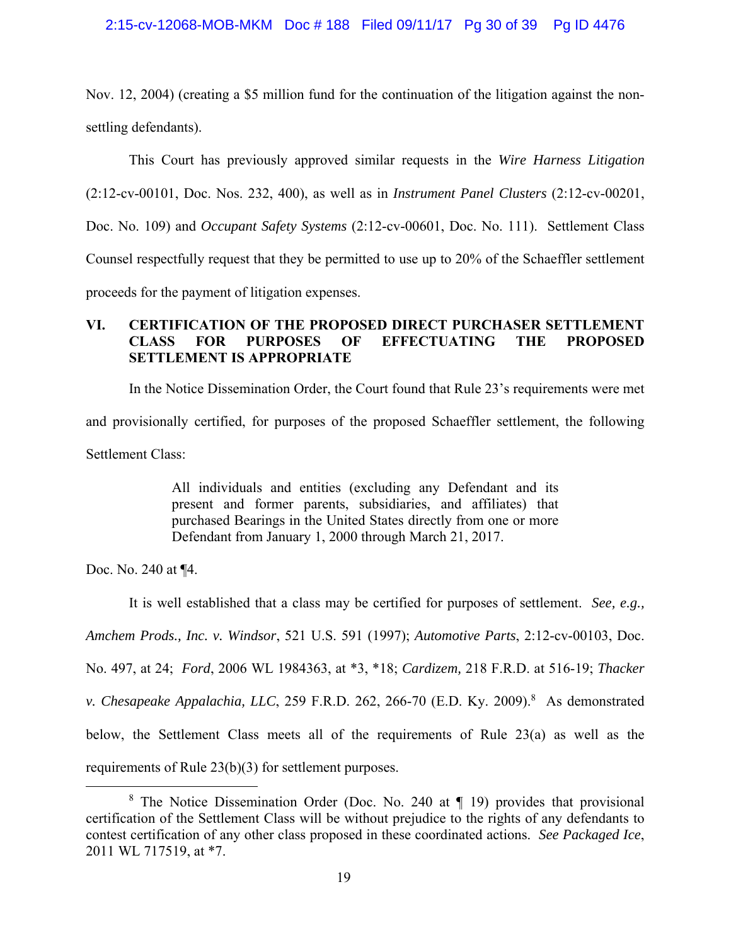### 2:15-cv-12068-MOB-MKM Doc # 188 Filed 09/11/17 Pg 30 of 39 Pg ID 4476

Nov. 12, 2004) (creating a \$5 million fund for the continuation of the litigation against the nonsettling defendants).

This Court has previously approved similar requests in the *Wire Harness Litigation* (2:12-cv-00101, Doc. Nos. 232, 400), as well as in *Instrument Panel Clusters* (2:12-cv-00201, Doc. No. 109) and *Occupant Safety Systems* (2:12-cv-00601, Doc. No. 111). Settlement Class Counsel respectfully request that they be permitted to use up to 20% of the Schaeffler settlement proceeds for the payment of litigation expenses.

# **VI. CERTIFICATION OF THE PROPOSED DIRECT PURCHASER SETTLEMENT CLASS FOR PURPOSES OF EFFECTUATING THE PROPOSED SETTLEMENT IS APPROPRIATE**

In the Notice Dissemination Order, the Court found that Rule 23's requirements were met and provisionally certified, for purposes of the proposed Schaeffler settlement, the following

Settlement Class:

All individuals and entities (excluding any Defendant and its present and former parents, subsidiaries, and affiliates) that purchased Bearings in the United States directly from one or more Defendant from January 1, 2000 through March 21, 2017.

Doc. No. 240 at ¶4.

It is well established that a class may be certified for purposes of settlement. *See, e.g.,* 

*Amchem Prods., Inc. v. Windsor*, 521 U.S. 591 (1997); *Automotive Parts*, 2:12-cv-00103, Doc.

No. 497, at 24; *Ford*, 2006 WL 1984363, at \*3, \*18; *Cardizem,* 218 F.R.D. at 516-19; *Thacker* 

*v. Chesapeake Appalachia, LLC*, 259 F.R.D. 262, 266-70 (E.D. Ky. 2009).<sup>8</sup> As demonstrated

below, the Settlement Class meets all of the requirements of Rule 23(a) as well as the

requirements of Rule 23(b)(3) for settlement purposes.

 <sup>8</sup> <sup>8</sup> The Notice Dissemination Order (Doc. No. 240 at  $\P$  19) provides that provisional certification of the Settlement Class will be without prejudice to the rights of any defendants to contest certification of any other class proposed in these coordinated actions. *See Packaged Ice*, 2011 WL 717519, at \*7.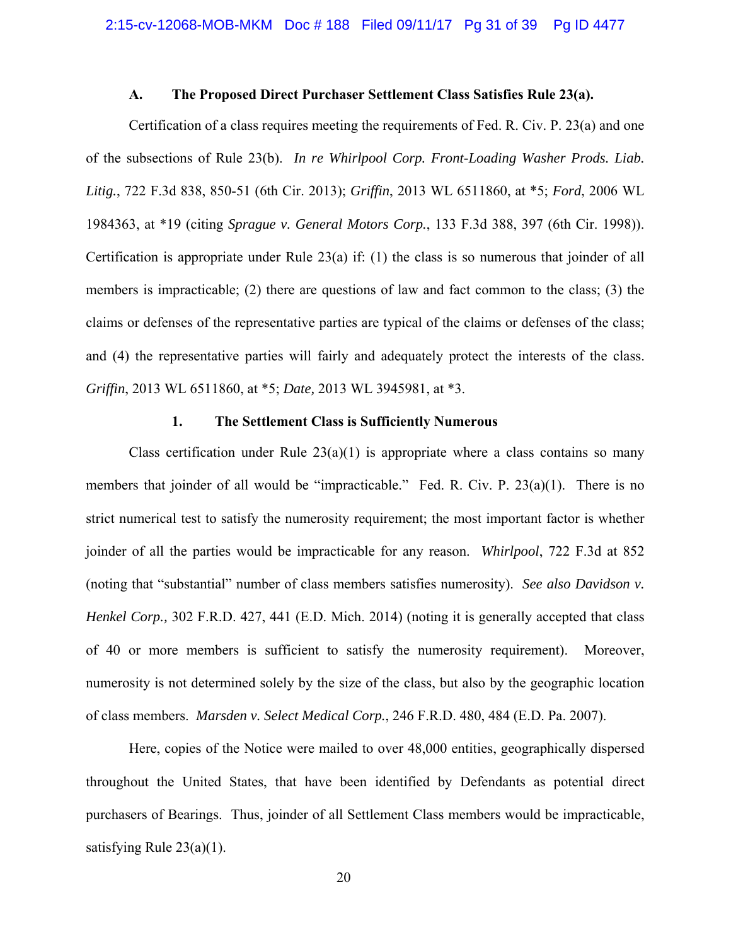#### **A. The Proposed Direct Purchaser Settlement Class Satisfies Rule 23(a).**

Certification of a class requires meeting the requirements of Fed. R. Civ. P. 23(a) and one of the subsections of Rule 23(b). *In re Whirlpool Corp. Front-Loading Washer Prods. Liab. Litig.*, 722 F.3d 838, 850-51 (6th Cir. 2013); *Griffin*, 2013 WL 6511860, at \*5; *Ford*, 2006 WL 1984363, at \*19 (citing *Sprague v. General Motors Corp.*, 133 F.3d 388, 397 (6th Cir. 1998)). Certification is appropriate under Rule 23(a) if: (1) the class is so numerous that joinder of all members is impracticable; (2) there are questions of law and fact common to the class; (3) the claims or defenses of the representative parties are typical of the claims or defenses of the class; and (4) the representative parties will fairly and adequately protect the interests of the class. *Griffin*, 2013 WL 6511860, at \*5; *Date,* 2013 WL 3945981, at \*3.

## **1. The Settlement Class is Sufficiently Numerous**

Class certification under Rule  $23(a)(1)$  is appropriate where a class contains so many members that joinder of all would be "impracticable." Fed. R. Civ. P. 23(a)(1). There is no strict numerical test to satisfy the numerosity requirement; the most important factor is whether joinder of all the parties would be impracticable for any reason. *Whirlpool*, 722 F.3d at 852 (noting that "substantial" number of class members satisfies numerosity). *See also Davidson v. Henkel Corp.,* 302 F.R.D. 427, 441 (E.D. Mich. 2014) (noting it is generally accepted that class of 40 or more members is sufficient to satisfy the numerosity requirement). Moreover, numerosity is not determined solely by the size of the class, but also by the geographic location of class members. *Marsden v. Select Medical Corp.*, 246 F.R.D. 480, 484 (E.D. Pa. 2007).

Here, copies of the Notice were mailed to over 48,000 entities, geographically dispersed throughout the United States, that have been identified by Defendants as potential direct purchasers of Bearings. Thus, joinder of all Settlement Class members would be impracticable, satisfying Rule 23(a)(1).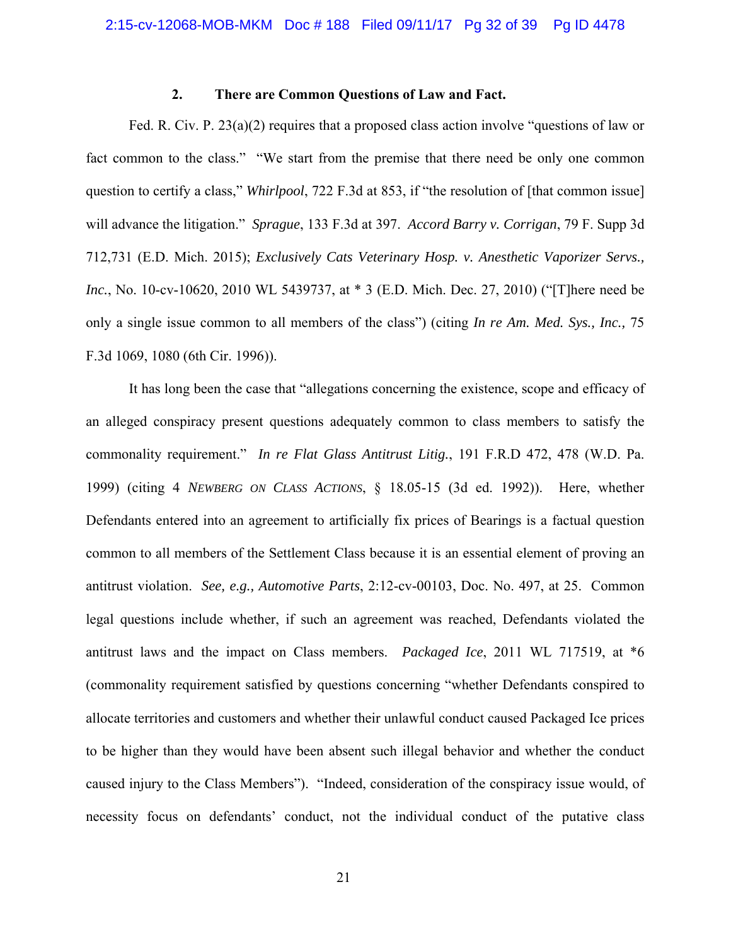## **2. There are Common Questions of Law and Fact.**

Fed. R. Civ. P. 23(a)(2) requires that a proposed class action involve "questions of law or fact common to the class." "We start from the premise that there need be only one common question to certify a class," *Whirlpool*, 722 F.3d at 853, if "the resolution of [that common issue] will advance the litigation." *Sprague*, 133 F.3d at 397. *Accord Barry v. Corrigan*, 79 F. Supp 3d 712,731 (E.D. Mich. 2015); *Exclusively Cats Veterinary Hosp. v. Anesthetic Vaporizer Servs., Inc.*, No. 10-cv-10620, 2010 WL 5439737, at \* 3 (E.D. Mich. Dec. 27, 2010) ("[T]here need be only a single issue common to all members of the class") (citing *In re Am. Med. Sys., Inc.,* 75 F.3d 1069, 1080 (6th Cir. 1996)).

It has long been the case that "allegations concerning the existence, scope and efficacy of an alleged conspiracy present questions adequately common to class members to satisfy the commonality requirement." *In re Flat Glass Antitrust Litig.*, 191 F.R.D 472, 478 (W.D. Pa. 1999) (citing 4 *NEWBERG ON CLASS ACTIONS*, § 18.05-15 (3d ed. 1992)). Here, whether Defendants entered into an agreement to artificially fix prices of Bearings is a factual question common to all members of the Settlement Class because it is an essential element of proving an antitrust violation. *See, e.g., Automotive Parts*, 2:12-cv-00103, Doc. No. 497, at 25. Common legal questions include whether, if such an agreement was reached, Defendants violated the antitrust laws and the impact on Class members. *Packaged Ice*, 2011 WL 717519, at \*6 (commonality requirement satisfied by questions concerning "whether Defendants conspired to allocate territories and customers and whether their unlawful conduct caused Packaged Ice prices to be higher than they would have been absent such illegal behavior and whether the conduct caused injury to the Class Members"). "Indeed, consideration of the conspiracy issue would, of necessity focus on defendants' conduct, not the individual conduct of the putative class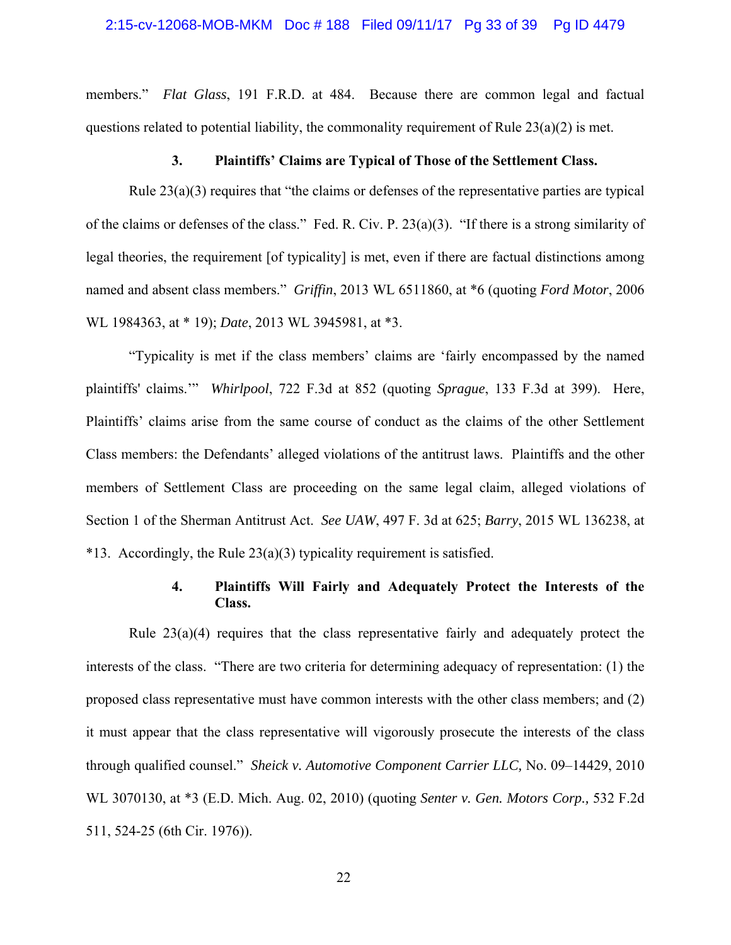members." *Flat Glass*, 191 F.R.D. at 484. Because there are common legal and factual questions related to potential liability, the commonality requirement of Rule  $23(a)(2)$  is met.

#### **3. Plaintiffs' Claims are Typical of Those of the Settlement Class.**

Rule 23(a)(3) requires that "the claims or defenses of the representative parties are typical of the claims or defenses of the class." Fed. R. Civ. P. 23(a)(3). "If there is a strong similarity of legal theories, the requirement [of typicality] is met, even if there are factual distinctions among named and absent class members." *Griffin*, 2013 WL 6511860, at \*6 (quoting *Ford Motor*, 2006 WL 1984363, at \* 19); *Date*, 2013 WL 3945981, at \*3.

"Typicality is met if the class members' claims are 'fairly encompassed by the named plaintiffs' claims.'" *Whirlpool*, 722 F.3d at 852 (quoting *Sprague*, 133 F.3d at 399). Here, Plaintiffs' claims arise from the same course of conduct as the claims of the other Settlement Class members: the Defendants' alleged violations of the antitrust laws. Plaintiffs and the other members of Settlement Class are proceeding on the same legal claim, alleged violations of Section 1 of the Sherman Antitrust Act. *See UAW*, 497 F. 3d at 625; *Barry*, 2015 WL 136238, at  $*13.$  Accordingly, the Rule 23(a)(3) typicality requirement is satisfied.

## **4. Plaintiffs Will Fairly and Adequately Protect the Interests of the Class.**

Rule 23(a)(4) requires that the class representative fairly and adequately protect the interests of the class. "There are two criteria for determining adequacy of representation: (1) the proposed class representative must have common interests with the other class members; and (2) it must appear that the class representative will vigorously prosecute the interests of the class through qualified counsel." *Sheick v. Automotive Component Carrier LLC,* No. 09–14429, 2010 WL 3070130, at \*3 (E.D. Mich. Aug. 02, 2010) (quoting *Senter v. Gen. Motors Corp.,* 532 F.2d 511, 524-25 (6th Cir. 1976)).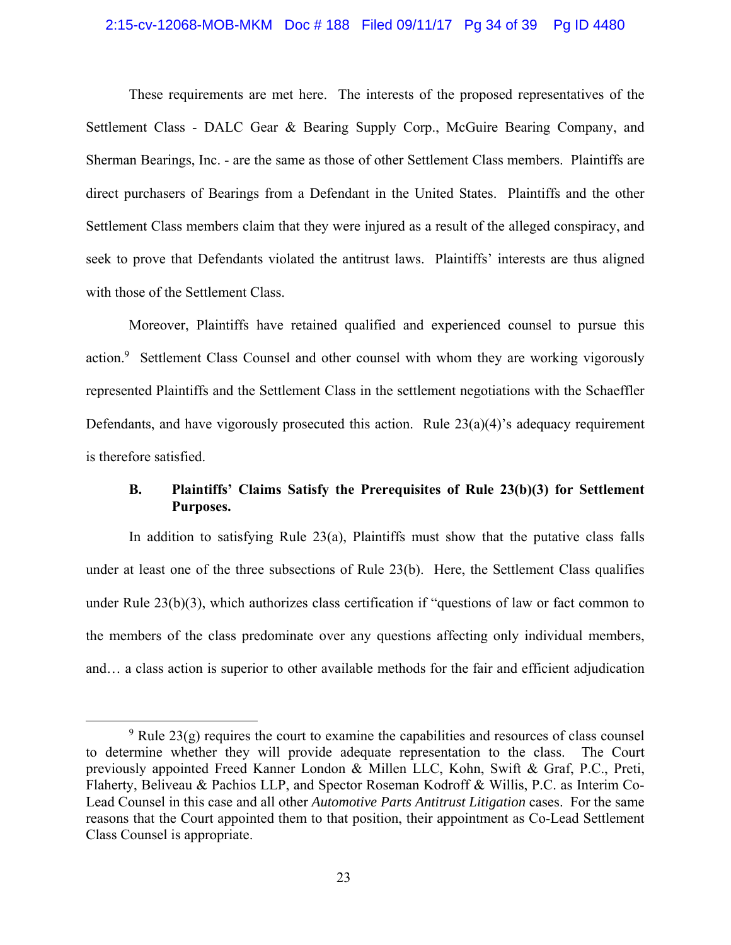#### 2:15-cv-12068-MOB-MKM Doc # 188 Filed 09/11/17 Pg 34 of 39 Pg ID 4480

These requirements are met here. The interests of the proposed representatives of the Settlement Class - DALC Gear & Bearing Supply Corp., McGuire Bearing Company, and Sherman Bearings, Inc. - are the same as those of other Settlement Class members. Plaintiffs are direct purchasers of Bearings from a Defendant in the United States. Plaintiffs and the other Settlement Class members claim that they were injured as a result of the alleged conspiracy, and seek to prove that Defendants violated the antitrust laws. Plaintiffs' interests are thus aligned with those of the Settlement Class.

Moreover, Plaintiffs have retained qualified and experienced counsel to pursue this action.<sup>9</sup> Settlement Class Counsel and other counsel with whom they are working vigorously represented Plaintiffs and the Settlement Class in the settlement negotiations with the Schaeffler Defendants, and have vigorously prosecuted this action. Rule  $23(a)(4)$ 's adequacy requirement is therefore satisfied.

## **B. Plaintiffs' Claims Satisfy the Prerequisites of Rule 23(b)(3) for Settlement Purposes.**

In addition to satisfying Rule 23(a), Plaintiffs must show that the putative class falls under at least one of the three subsections of Rule 23(b). Here, the Settlement Class qualifies under Rule 23(b)(3), which authorizes class certification if "questions of law or fact common to the members of the class predominate over any questions affecting only individual members, and… a class action is superior to other available methods for the fair and efficient adjudication

 $\frac{1}{9}$ <sup>9</sup> Rule 23(g) requires the court to examine the capabilities and resources of class counsel to determine whether they will provide adequate representation to the class. The Court previously appointed Freed Kanner London & Millen LLC, Kohn, Swift & Graf, P.C., Preti, Flaherty, Beliveau & Pachios LLP, and Spector Roseman Kodroff & Willis, P.C. as Interim Co-Lead Counsel in this case and all other *Automotive Parts Antitrust Litigation* cases. For the same reasons that the Court appointed them to that position, their appointment as Co-Lead Settlement Class Counsel is appropriate.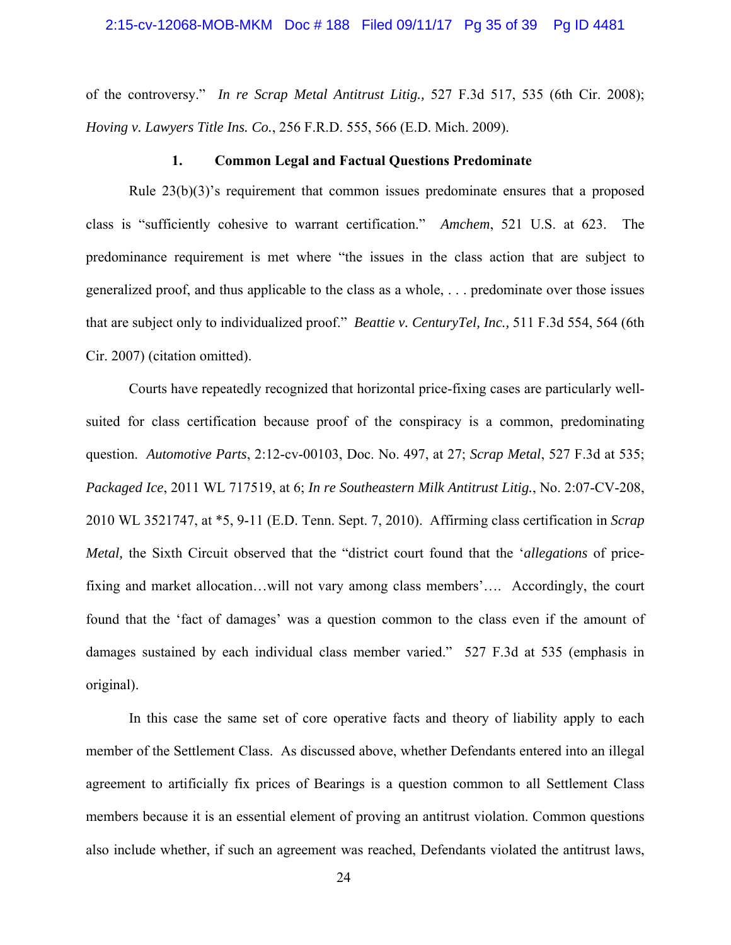of the controversy." *In re Scrap Metal Antitrust Litig.,* 527 F.3d 517, 535 (6th Cir. 2008); *Hoving v. Lawyers Title Ins. Co.*, 256 F.R.D. 555, 566 (E.D. Mich. 2009).

#### **1. Common Legal and Factual Questions Predominate**

Rule  $23(b)(3)$ 's requirement that common issues predominate ensures that a proposed class is "sufficiently cohesive to warrant certification." *Amchem*, 521 U.S. at 623. The predominance requirement is met where "the issues in the class action that are subject to generalized proof, and thus applicable to the class as a whole, . . . predominate over those issues that are subject only to individualized proof." *Beattie v. CenturyTel, Inc.,* 511 F.3d 554, 564 (6th Cir. 2007) (citation omitted).

Courts have repeatedly recognized that horizontal price-fixing cases are particularly wellsuited for class certification because proof of the conspiracy is a common, predominating question. *Automotive Parts*, 2:12-cv-00103, Doc. No. 497, at 27; *Scrap Metal*, 527 F.3d at 535; *Packaged Ice*, 2011 WL 717519, at 6; *In re Southeastern Milk Antitrust Litig.*, No. 2:07-CV-208, 2010 WL 3521747, at \*5, 9-11 (E.D. Tenn. Sept. 7, 2010). Affirming class certification in *Scrap Metal,* the Sixth Circuit observed that the "district court found that the '*allegations* of pricefixing and market allocation…will not vary among class members'…. Accordingly, the court found that the 'fact of damages' was a question common to the class even if the amount of damages sustained by each individual class member varied." 527 F.3d at 535 (emphasis in original).

In this case the same set of core operative facts and theory of liability apply to each member of the Settlement Class. As discussed above, whether Defendants entered into an illegal agreement to artificially fix prices of Bearings is a question common to all Settlement Class members because it is an essential element of proving an antitrust violation. Common questions also include whether, if such an agreement was reached, Defendants violated the antitrust laws,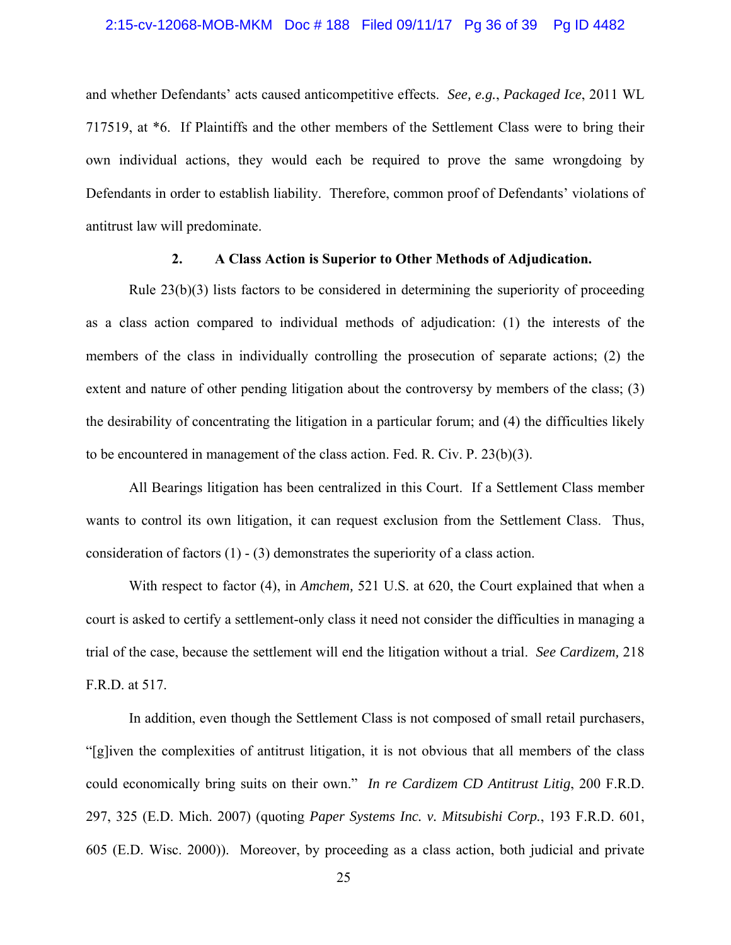#### 2:15-cv-12068-MOB-MKM Doc # 188 Filed 09/11/17 Pg 36 of 39 Pg ID 4482

and whether Defendants' acts caused anticompetitive effects. *See, e.g.*, *Packaged Ice*, 2011 WL 717519, at \*6. If Plaintiffs and the other members of the Settlement Class were to bring their own individual actions, they would each be required to prove the same wrongdoing by Defendants in order to establish liability. Therefore, common proof of Defendants' violations of antitrust law will predominate.

## **2. A Class Action is Superior to Other Methods of Adjudication.**

Rule 23(b)(3) lists factors to be considered in determining the superiority of proceeding as a class action compared to individual methods of adjudication: (1) the interests of the members of the class in individually controlling the prosecution of separate actions; (2) the extent and nature of other pending litigation about the controversy by members of the class; (3) the desirability of concentrating the litigation in a particular forum; and (4) the difficulties likely to be encountered in management of the class action. Fed. R. Civ. P. 23(b)(3).

All Bearings litigation has been centralized in this Court. If a Settlement Class member wants to control its own litigation, it can request exclusion from the Settlement Class. Thus, consideration of factors  $(1)$  -  $(3)$  demonstrates the superiority of a class action.

With respect to factor (4), in *Amchem,* 521 U.S. at 620, the Court explained that when a court is asked to certify a settlement-only class it need not consider the difficulties in managing a trial of the case, because the settlement will end the litigation without a trial. *See Cardizem,* 218 F.R.D. at 517.

In addition, even though the Settlement Class is not composed of small retail purchasers, "[g]iven the complexities of antitrust litigation, it is not obvious that all members of the class could economically bring suits on their own." *In re Cardizem CD Antitrust Litig*, 200 F.R.D. 297, 325 (E.D. Mich. 2007) (quoting *Paper Systems Inc. v. Mitsubishi Corp.*, 193 F.R.D. 601, 605 (E.D. Wisc. 2000)). Moreover, by proceeding as a class action, both judicial and private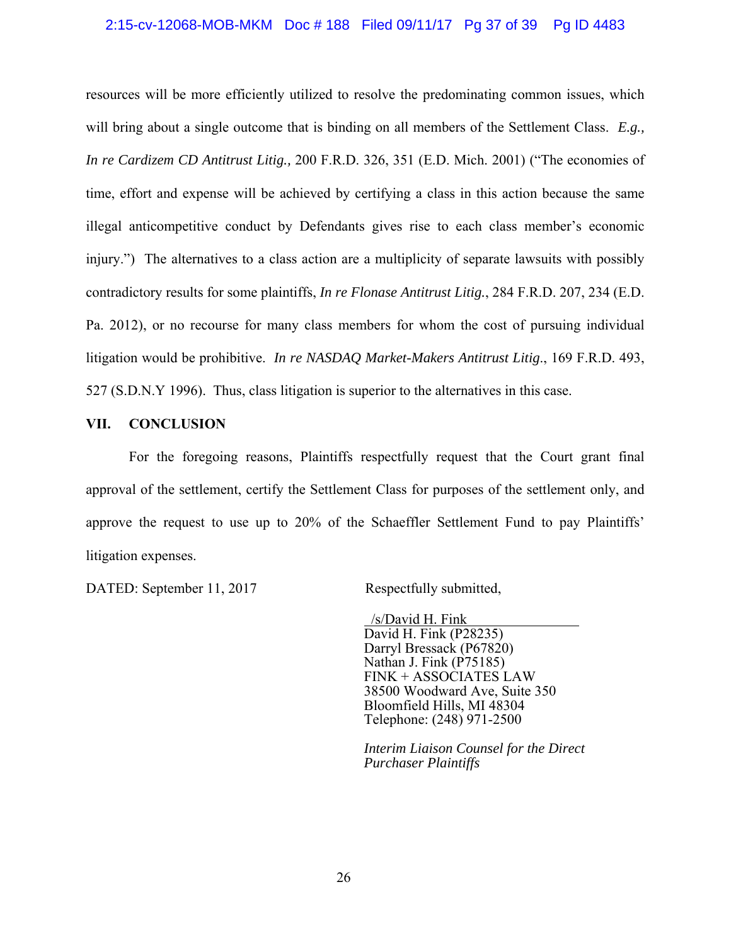### 2:15-cv-12068-MOB-MKM Doc # 188 Filed 09/11/17 Pg 37 of 39 Pg ID 4483

resources will be more efficiently utilized to resolve the predominating common issues, which will bring about a single outcome that is binding on all members of the Settlement Class. *E.g., In re Cardizem CD Antitrust Litig.,* 200 F.R.D. 326, 351 (E.D. Mich. 2001) ("The economies of time, effort and expense will be achieved by certifying a class in this action because the same illegal anticompetitive conduct by Defendants gives rise to each class member's economic injury.") The alternatives to a class action are a multiplicity of separate lawsuits with possibly contradictory results for some plaintiffs, *In re Flonase Antitrust Litig.*, 284 F.R.D. 207, 234 (E.D. Pa. 2012), or no recourse for many class members for whom the cost of pursuing individual litigation would be prohibitive. *In re NASDAQ Market-Makers Antitrust Litig*., 169 F.R.D. 493, 527 (S.D.N.Y 1996). Thus, class litigation is superior to the alternatives in this case.

#### **VII. CONCLUSION**

For the foregoing reasons, Plaintiffs respectfully request that the Court grant final approval of the settlement, certify the Settlement Class for purposes of the settlement only, and approve the request to use up to 20% of the Schaeffler Settlement Fund to pay Plaintiffs' litigation expenses.

DATED: September 11, 2017 Respectfully submitted,

 /s/David H. Fink David H. Fink (P28235) Darryl Bressack (P67820) Nathan J. Fink (P75185) FINK + ASSOCIATES LAW 38500 Woodward Ave, Suite 350 Bloomfield Hills, MI 48304 Telephone: (248) 971-2500

*Interim Liaison Counsel for the Direct Purchaser Plaintiffs*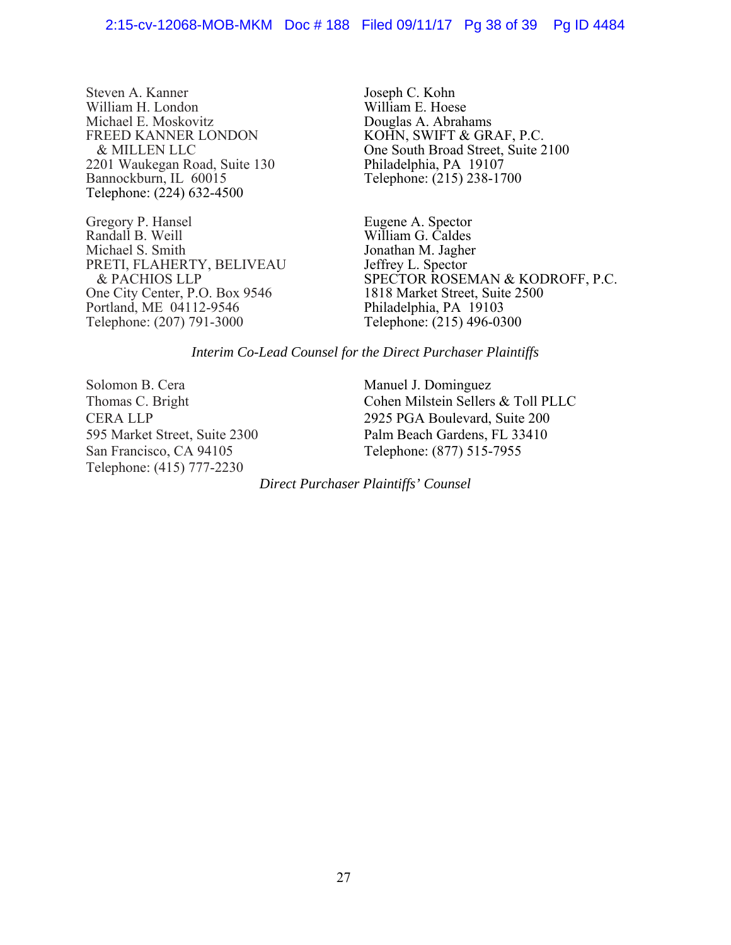Steven A. Kanner William H. London Michael E. Moskovitz FREED KANNER LONDON & MILLEN LLC 2201 Waukegan Road, Suite 130 Bannockburn, IL 60015 Telephone: (224) 632-4500

Gregory P. Hansel Randall B. Weill Michael S. Smith PRETI, FLAHERTY, BELIVEAU & PACHIOS LLP One City Center, P.O. Box 9546 Portland, ME 04112-9546 Telephone: (207) 791-3000

Joseph C. Kohn William E. Hoese Douglas A. Abrahams KOHN, SWIFT & GRAF, P.C. One South Broad Street, Suite 2100 Philadelphia, PA 19107 Telephone: (215) 238-1700

Eugene A. Spector William G. Caldes Jonathan M. Jagher Jeffrey L. Spector SPECTOR ROSEMAN & KODROFF, P.C. 1818 Market Street, Suite 2500 Philadelphia, PA 19103 Telephone: (215) 496-0300

### *Interim Co-Lead Counsel for the Direct Purchaser Plaintiffs*

Solomon B. Cera Thomas C. Bright CERA LLP 595 Market Street, Suite 2300 San Francisco, CA 94105 Telephone: (415) 777-2230

Manuel J. Dominguez Cohen Milstein Sellers & Toll PLLC 2925 PGA Boulevard, Suite 200 Palm Beach Gardens, FL 33410 Telephone: (877) 515-7955

*Direct Purchaser Plaintiffs' Counsel*